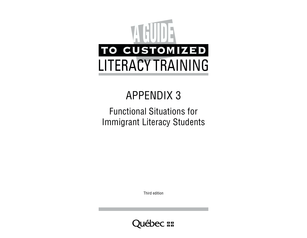# TO CUSTOMIZED **A GUIDE** LITERACY TRAINING

# APPENDIX 3

## Functional Situations for Immigrant Literacy Students

Third edition

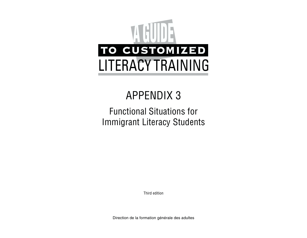# TO CUSTOMIZED **A GUIDE** LITERACY TRAINING

# APPENDIX 3

## Functional Situations for Immigrant Literacy Students

Third edition

Direction de la formation générale des adultes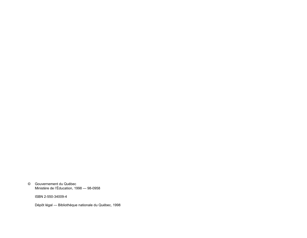© Gouvernement du QuÈbecMinistère de l'Éducation, 1998 — 98-0958

ISBN 2-550-34009-4

Dépôt légal - Bibliothèque nationale du Québec, 1998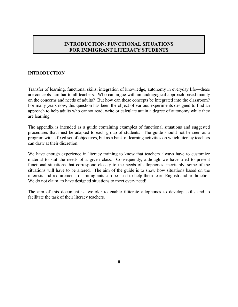#### **INTRODUCTION: FUNCTIONAL SITUATIONS FOR IMMIGRANT LITERACY STUDENTS**

#### **INTRODUCTION**

Transfer of learning, functional skills, integration of knowledge, autonomy in everyday life—these are concepts familiar to all teachers. Who can argue with an andragogical approach based mainly on the concerns and needs of adults? But how can these concepts be integrated into the classroom? For many years now, this question has been the object of various experiments designed to find an approach to help adults who cannot read, write or calculate attain a degree of autonomy while they are learning.

The appendix is intended as a guide containing examples of functional situations and suggested procedures that must be adapted to each group of students. The guide should not be seen as a program with a fixed set of objectives, but as a bank of learning activities on which literacy teachers can draw at their discretion.

We have enough experience in literacy training to know that teachers always have to customize material to suit the needs of a given class. Consequently, although we have tried to present functional situations that correspond closely to the needs of allophones, inevitably, some of the situations will have to be altered. The aim of the guide is to show how situations based on the interests and requirements of immigrants can be used to help them learn English and arithmetic. We do not claim to have designed situations to meet every need!

The aim of this document is twofold: to enable illiterate allophones to develop skills and to facilitate the task of their literacy teachers.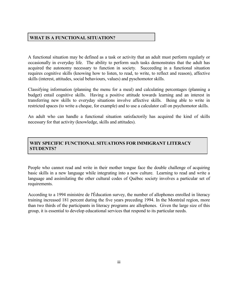#### **WHAT IS A FUNCTIONAL SITUATION?**

A functional situation may be defined as a task or activity that an adult must perform regularly or occasionally in everyday life. The ability to perform such tasks demonstrates that the adult has acquired the autonomy necessary to function in society. Succeeding in a functional situation requires cognitive skills (knowing how to listen, to read, to write, to reflect and reason), affective skills (interest, attitudes, social behaviours, values) and pyschomotor skills.

Classifying information (planning the menu for a meal) and calculating percentages (planning a budget) entail cognitive skills. Having a positive attitude towards learning and an interest in transferring new skills to everyday situations involve affective skills. Being able to write in restricted spaces (to write a cheque, for example) and to use a calculator call on psychomotor skills.

An adult who can handle a functional situation satisfactorily has acquired the kind of skills necessary for that activity (knowledge, skills and attitudes).

#### **WHY SPECIFIC FUNCTIONAL SITUATIONS FOR IMMIGRANT LITERACY STUDENTS?**

People who cannot read and write in their mother tongue face the double challenge of acquiring basic skills in a new language while integrating into a new culture. Learning to read and write a language and assimilating the other cultural codes of Québec society involves a particular set of requirements.

According to a 1994 ministère de l'Éducation survey, the number of allophones enrolled in literacy training increased 181 percent during the five years preceding 1994. In the Montréal region, more than two thirds of the participants in literacy programs are allophones. Given the large size of this group, it is essential to develop educational services that respond to its particular needs.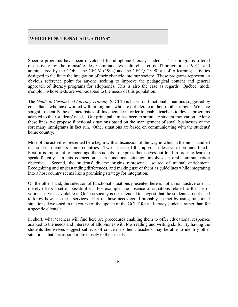#### **WHICH FUNCTIONAL SITUATIONS?**

Specific programs have been developed for allophone literacy students. The programs offered respectively by the ministère des Communautés culturelles et de l'Immigration (1991), and administered by the COFIs, the CECM (1994) and the CECQ (1990) all offer learning activities designed to facilitate the integration of their clientele into our society. These programs represent an obvious reference point for anyone seeking to improve the pedagogical content and general approach of literacy programs for allophones. This is also the case as regards "QuÈbec, mode d'emploi" whose texts are well-adapted to the needs of this population.

The *Guide to Customized Literacy Training* (GCLT) is based on functional situations suggested by consultants who have worked with immigrants who are not literate in their mother tongue. We have sought to identify the characteristics of this clientele in order to enable teachers to devise programs adapted to their students' needs. Our principal aim has been to stimulate student motivation. Along these lines, we propose functional situations based on the management of small businesses of the sort many immigrants in fact run. Other situations are based on communicating with the students' home country.

Most of the activities presented here begin with a discussion of the way in which a theme is handled in the class members' home countries. Two aspects of this approach deserve to be underlined. First, it is important to encourage the students to express themselves out loud in order to learn to speak fluently. In this connection, each functional situation involves an oral communication objective. Second, the students' diverse origins represent a source of mutual enrichment. Recognizing and understanding differences, and making use of them as guidelines while integrating into a host country seems like a promising strategy for integration.

On the other hand, the selection of functional situations presented here is not an exhaustive one. It merely offers a set of possibilities. For example, the absence of situations related to the use of various services available in QuÈbec society is not intended to suggest that the students do not need to know how use these services. Part of those needs could probably be met by using functional situations developed in the course of the update of the GCLT for all literacy students rather than for a specific clientele.

In short, what teachers will find here are procedures enabling them to offer educational responses adapted to the needs and interests of allophones with low reading and writing skills. By having the students themselves suggest subjects of concern to them, teachers may be able to identify other situations that correspond more closely to their needs.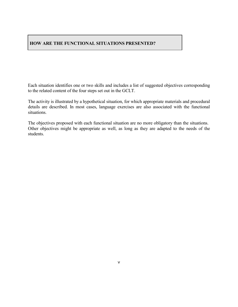#### **HOW ARE THE FUNCTIONAL SITUATIONS PRESENTED?**

Each situation identifies one or two skills and includes a list of suggested objectives corresponding to the related content of the four steps set out in the GCLT.

The activity is illustrated by a hypothetical situation, for which appropriate materials and procedural details are described. In most cases, language exercises are also associated with the functional situations.

The objectives proposed with each functional situation are no more obligatory than the situations. Other objectives might be appropriate as well, as long as they are adapted to the needs of the students.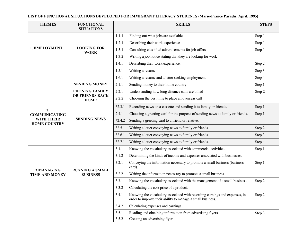**LIST OF FUNCTIONAL SITUATIONS DEVELOPED FOR IMMIGRANT LITERACY STUDENTS (Marie-France Paradis, April, 1995)**

| <b>THEMES</b>                            | <b>FUNCTIONAL</b><br><b>SITUATIONS</b> | <b>SKILLS</b>                                                                                                                                     | <b>STEPS</b> |
|------------------------------------------|----------------------------------------|---------------------------------------------------------------------------------------------------------------------------------------------------|--------------|
|                                          |                                        | Finding out what jobs are available<br>1.1.1                                                                                                      | Step 1       |
|                                          |                                        | 1.2.1<br>Describing their work experience                                                                                                         | Step 1       |
| 1. EMPLOYMENT                            | <b>LOOKING FOR</b><br><b>WORK</b>      | Consulting classified advertisements for job offers<br>1.3.1                                                                                      | Step 1       |
|                                          |                                        | Writing a job notice stating that they are looking for work<br>1.3.2                                                                              |              |
|                                          |                                        | 1.4.1<br>Describing their work experience.                                                                                                        | Step 2       |
|                                          |                                        | Writing a resume.<br>1.5.1                                                                                                                        | Step 3       |
|                                          |                                        | 1.6.1<br>Writing a resume and a letter seeking employment.                                                                                        | Step 4       |
|                                          | <b>SENDING MONEY</b>                   | 2.1.1<br>Sending money to their home country.                                                                                                     | Step 1       |
|                                          | <b>PHONING FAMILY</b>                  | Understanding how long distance calls are billed<br>2.2.1                                                                                         | Step 2       |
|                                          | OR FRIENDS BACK<br><b>HOME</b>         | 2.2.2<br>Choosing the best time to place an overseas call                                                                                         |              |
| 2.                                       |                                        | $*2.3.1$<br>Recording news on a cassette and sending it to family or friends.                                                                     | Step 1       |
| <b>COMMUNICATING</b>                     |                                        | Choosing a greeting card for the purpose of sending news to family or friends.<br>2.4.1                                                           | Step 1       |
| <b>WITH THEIR</b><br><b>HOME COUNTRY</b> | <b>SENDING NEWS</b>                    | Sending a greeting card to a friend or relative.<br>$*2.4.2$                                                                                      |              |
|                                          |                                        | Writing a letter conveying news to family or friends.<br>$*2.5.1$                                                                                 | Step 2       |
|                                          |                                        | Writing a letter conveying news to family or friends.<br>$*2.6.1$                                                                                 | Step 3       |
|                                          |                                        | $*2.7.1$<br>Writing a letter conveying news to family or friends.                                                                                 | Step 4       |
|                                          |                                        | Knowing the vocabulary associated with commercial activities.<br>3.1.1                                                                            | Step 1       |
|                                          |                                        | 3.1.2<br>Determining the kinds of income and expenses associated with businesses.                                                                 |              |
| 3.MANAGING                               | <b>RUNNING A SMALL</b>                 | Conveying the information necessary to promote a small business (business<br>3.2.1<br>card).                                                      | Step 1       |
| <b>TIME AND MONEY</b>                    | <b>BUSINESS</b>                        | Writing the information necessary to promote a small business.<br>3.2.2                                                                           |              |
|                                          |                                        | Knowing the vocabulary associated with the management of a small business.<br>3.3.1                                                               | Step 2       |
|                                          |                                        | Calculating the cost price of a product.<br>3.3.2                                                                                                 |              |
|                                          |                                        | Knowing the vocabulary associated with recording earnings and expenses, in<br>3.4.1<br>order to improve their ability to manage a small business. | Step 2       |
|                                          |                                        | Calculating expenses and earnings.<br>3.4.2                                                                                                       |              |
|                                          |                                        | Reading and obtaining information from advertising flyers.<br>3.5.1                                                                               | Step 3       |
|                                          |                                        | 3.5.2<br>Creating an advertising flyer.                                                                                                           |              |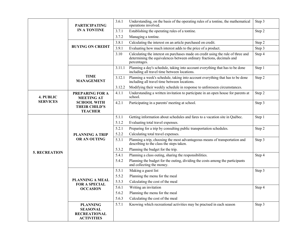|                      | <b>PARTICIPATING</b><br><b>IN A TONTINE</b><br><b>BUYING ON CREDIT</b>         |                | Understanding, on the basis of the operating rules of a tontine, the mathematical<br>operations involved.                                                                 | Step 3 |
|----------------------|--------------------------------------------------------------------------------|----------------|---------------------------------------------------------------------------------------------------------------------------------------------------------------------------|--------|
|                      |                                                                                |                | Establishing the operating rules of a tontine.                                                                                                                            | Step 2 |
|                      |                                                                                |                | Managing a tontine.                                                                                                                                                       |        |
|                      |                                                                                |                | Calculating the interest on an article purchased on credit.                                                                                                               | Step 2 |
|                      |                                                                                |                | Evaluating how much interest adds to the price of a product.                                                                                                              | Step 3 |
|                      |                                                                                | 3.10           | Calculating the interest on purchases made on credit using the rule of three and<br>determining the equivalences between ordinary fractions, decimals and<br>percentages. | Step 4 |
|                      |                                                                                | 3.11.1         | Planning a day's schedule, taking into account everything that has to be done<br>including all travel time between locations.                                             | Step 1 |
|                      | <b>TIME</b><br><b>MANAGEMENT</b>                                               | 3.12.1         | Planning a week's schedule, taking into account everything that has to be done<br>including all travel time between locations.                                            | Step 2 |
|                      |                                                                                | 3.12.2         | Modifying their weekly schedule in response to unforeseen circumstances.                                                                                                  |        |
| 4. PUBLIC            | <b>PREPARING FOR A</b><br><b>MEETING AT</b>                                    | 4.1.1          | Understanding a written invitation to participate in an open house for parents at<br>school.                                                                              | Step 2 |
| <b>SERVICES</b>      | <b>SCHOOL WITH</b><br><b>THEIR CHILD'S</b><br><b>TEACHER</b>                   | 4.2.1          | Participating in a parents' meeting at school.                                                                                                                            | Step 3 |
|                      |                                                                                | 5.1.1          | Getting information about schedules and fares to a vacation site in Québec.                                                                                               | Step 1 |
|                      |                                                                                | 5.1.2          | Evaluating total travel expenses.                                                                                                                                         |        |
|                      |                                                                                | 5.2.1          | Preparing for a trip by consulting public transportation schedules.                                                                                                       | Step 2 |
|                      | <b>PLANNING A TRIP</b>                                                         | 5.2.2          | Calculating total travel expenses.                                                                                                                                        |        |
|                      | OR AN OUTING                                                                   | 5.3.1          | Planning a trip, choosing the most advantageous means of transportation and describing to the class the steps taken.                                                      | Step 3 |
| <b>5. RECREATION</b> |                                                                                | 5.3.2          | Planning the budget for the trip.                                                                                                                                         |        |
|                      |                                                                                | 5.4.1          | Planning a class outing, sharing the responsibilities.                                                                                                                    | Step 4 |
|                      |                                                                                | 5.4.2          | Planning the budget for the outing, dividing the costs among the participants<br>and collecting the money.                                                                |        |
|                      |                                                                                | 5.5.1          | Making a guest list                                                                                                                                                       | Step 3 |
|                      |                                                                                | 5.5.2          | Planning the menu for the meal                                                                                                                                            |        |
|                      | <b>PLANNING A MEAL</b><br><b>FOR A SPECIAL</b><br><b>OCCASION</b>              | 5.5.3          | Calculating the cost of the meal                                                                                                                                          |        |
|                      |                                                                                | 5.6.1<br>5.6.2 | Writing an invitation                                                                                                                                                     | Step 4 |
|                      |                                                                                |                | Planning the menu for the meal                                                                                                                                            |        |
|                      |                                                                                | 5.6.3          | Calculating the cost of the meal                                                                                                                                          |        |
|                      | <b>PLANNING</b><br><b>SEASONAL</b><br><b>RECREATIONAL</b><br><b>ACTIVITIES</b> | 5.7.1          | Knowing which recreational activities may be practsed in each season                                                                                                      | Step 3 |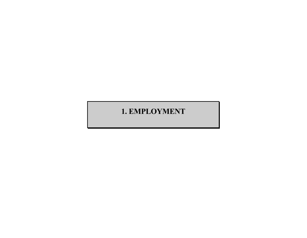## **1. EMPLOYMENT**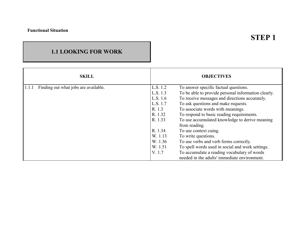## **STEP 1**

### **1.1 LOOKING FOR WORK**

| <b>SKILL</b>                                  |          | <b>OBJECTIVES</b>                                   |
|-----------------------------------------------|----------|-----------------------------------------------------|
| 1.1.1<br>Finding out what jobs are available. | L.S. 1.2 | To answer specific factual questions.               |
|                                               | L.S. 1.3 | To be able to provide personal information clearly. |
|                                               | L.S. 1.6 | To receive messages and directions accurately.      |
|                                               | L.S. 1.7 | To ask questions and make requests.                 |
|                                               | R. 1.3   | To associate words with meanings.                   |
|                                               | R. 1.32  | To respond to basic reading requirements.           |
|                                               | R. 1.33  | To use accumulated knowledge to derive meaning      |
|                                               |          | from reading.                                       |
|                                               | R. 1.34  | To use context cuing.                               |
|                                               | W. 1.13  | To write questions.                                 |
|                                               | W. 1.36  | To use verbs and verb forms correctly.              |
|                                               | W. 1.51  | To spell words used in social and work settings.    |
|                                               | V. 1.7   | To accumulate a reading vocabulary of words         |
|                                               |          | needed in the adults' immediate environment.        |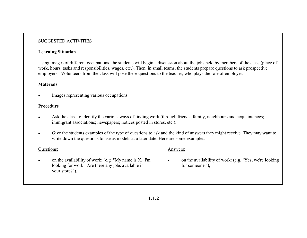#### SUGGESTED ACTIVITIES

#### **Learning Situation**

Using images of different occupations, the students will begin a discussion about the jobs held by members of the class (place of work, hours, tasks and responsibilities, wages, etc.). Then, in small teams, the students prepare questions to ask prospective employers. Volunteers from the class will pose these questions to the teacher, who plays the role of employer.

#### **Materials**

•Images representing various occupations.

#### **Procedure**

- •Ask the class to identify the various ways of finding work (through friends, family, neighbours and acquaintances; immigrant associations; newspapers; notices posted in stores, etc.).
- • Give the students examples of the type of questions to ask and the kind of answers they might receive. They may want to write down the questions to use as models at a later date. Here are some examples:

#### Questions:

- Answers:
- • on the availability of work: (e.g. "My name is X. I'm looking for work. Are there any jobs available in your store?"),
- • on the availability of work: (e.g. "Yes, we're looking for someone."),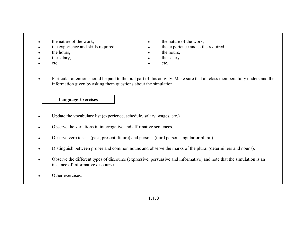- •
- •
- •
- •
- •etc.  $\qquad \qquad \bullet \qquad \text{etc.}$
- the nature of the work, the nature of the work,
- the experience and skills required,  $\bullet$  the experience and skills required,
- the hours, the hours,
- the salary, the salary,
	-
- • Particular attention should be paid to the oral part of this activity. Make sure that all class members fully understand the information given by asking them questions about the simulation.

- •Update the vocabulary list (experience, schedule, salary, wages, etc.).
- •Observe the variations in interrogative and affirmative sentences.
- $\bullet$ Observe verb tenses (past, present, future) and persons (third person singular or plural).
- •Distinguish between proper and common nouns and observe the marks of the plural (determiners and nouns).
- • Observe the different types of discourse (expressive, persuasive and informative) and note that the simulation is an instance of informative discourse.
- •Other exercises.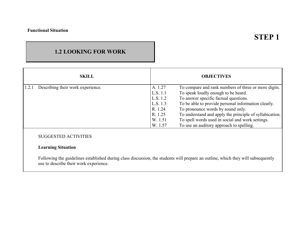## **1.2 LOOKING FOR WORK**

| <b>SKILL</b>                               |          | <b>OBJECTIVES</b>                                       |
|--------------------------------------------|----------|---------------------------------------------------------|
| 1.2.1<br>Describing their work experience. | A. 1.27  | To compare and rank numbers of three or more digits.    |
|                                            | L.S. 1.1 | To speak loudly enough to be heard.                     |
|                                            | L.S. 1.2 | To answer specific factual questions.                   |
|                                            | L.S. 1.3 | To be able to provide personal information clearly.     |
|                                            | R. 1.24  | To pronounce words by sound only.                       |
|                                            | R. 1.25  | To understand and apply the principle of syllabication. |
|                                            | W. 1.51  | To spell words used in social and work settings.        |
|                                            | W. 1.57  | To use an auditory approach to spelling.                |
|                                            |          |                                                         |

### SUGGESTED ACTIVITIES

#### **Learning Situation**

Following the guidelines established during class discussion, the students will prepare an outline, which they will subsequently use to describe their work experience.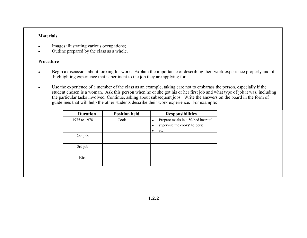#### **Materials**

- •Images illustrating various occupations;
- •Outline prepared by the class as a whole.

#### **Procedure**

- • Begin a discussion about looking for work. Explain the importance of describing their work experience properly and of highlighting experience that is pertinent to the job they are applying for.
- $\bullet$  Use the experience of a member of the class as an example, taking care not to embarass the person, especially if the student chosen is a woman. Ask this person when he or she got his or her first job and what type of job it was, including the particular tasks involved. Continue, asking about subsequent jobs. Write the answers on the board in the form of guidelines that will help the other students describe their work experience. For example:

| <b>Duration</b> | <b>Position held</b> | <b>Responsibilities</b>                                                                        |
|-----------------|----------------------|------------------------------------------------------------------------------------------------|
| 1975 to 1978    | Cook                 | Prepare meals in a 50-bed hospital;<br>$\bullet$<br>supervise the cooks' helpers;<br>٠<br>etc. |
| 2nd job         |                      |                                                                                                |
| 3rd job         |                      |                                                                                                |
| Etc.            |                      |                                                                                                |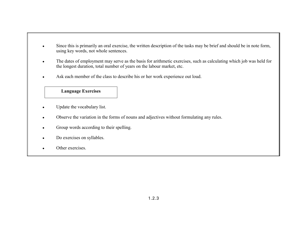- • Since this is primarily an oral exercise, the written description of the tasks may be brief and should be in note form, using key words, not whole sentences.
- • The dates of employment may serve as the basis for arithmetic exercises, such as calculating which job was held for the longest duration, total number of years on the labour market, etc.
- $\bullet$ Ask each member of the class to describe his or her work experience out loud.

- •Update the vocabulary list.
- $\bullet$ Observe the variation in the forms of nouns and adjectives without formulating any rules.
- •Group words according to their spelling.
- •Do exercises on syllables.
- •Other exercises.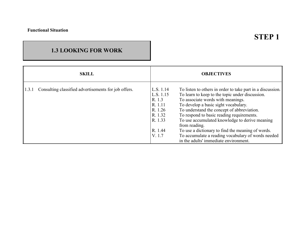## **STEP 1**

## **1.3 LOOKING FOR WORK**

| <b>SKILL</b>                                                  | <b>OBJECTIVES</b>                                                                                                                                                                                                                                                                                                                                                                                                                                                                                                                                                                                                 |  |
|---------------------------------------------------------------|-------------------------------------------------------------------------------------------------------------------------------------------------------------------------------------------------------------------------------------------------------------------------------------------------------------------------------------------------------------------------------------------------------------------------------------------------------------------------------------------------------------------------------------------------------------------------------------------------------------------|--|
| 1.3.1<br>Consulting classified advertisements for job offers. | L.S. 1.14<br>To listen to others in order to take part in a discussion.<br>To learn to keep to the topic under discussion.<br>L.S. 1.15<br>To associate words with meanings.<br>R. 1.3<br>To develop a basic sight vocabulary.<br>R. 1.11<br>To understand the concept of abbreviation.<br>R. 1.26<br>To respond to basic reading requirements.<br>R. 1.32<br>To use accumulated knowledge to derive meaning<br>R. 1.33<br>from reading.<br>To use a dictionary to find the meaning of words.<br>R. 1.44<br>To accumulate a reading vocabulary of words needed<br>V. 1.7<br>in the adults' immediate environment. |  |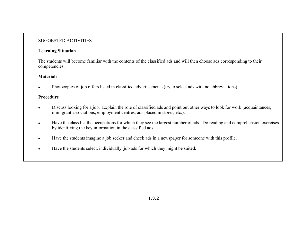#### SUGGESTED ACTIVITIES

#### **Learning Situation**

The students will become familiar with the contents of the classified ads and will then choose ads corresponding to their competencies.

#### **Materials**

•Photocopies of job offers listed in classified advertisements (try to select ads with no abbreviations).

#### **Procedure**

- • Discuss looking for a job. Explain the role of classified ads and point out other ways to look for work (acquaintances, immigrant associations, employment centres, ads placed in stores, etc.).
- • Have the class list the occupations for which they see the largest number of ads. Do reading and comprehension exercises by identifying the key information in the classified ads.
- •Have the students imagine a job seeker and check ads in a newspaper for someone with this profile.
- •Have the students select, individually, job ads for which they might be suited.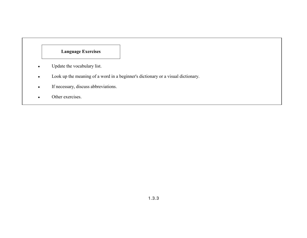- $\bullet$ Update the vocabulary list.
- •Look up the meaning of a word in a beginner's dictionary or a visual dictionary.
- •If necessary, discuss abbreviations.
- •Other exercises.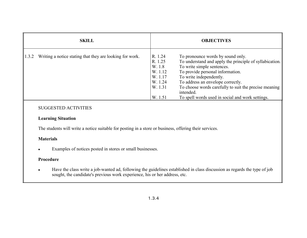| <b>SKILL</b>                                                      |                                                                                     | <b>OBJECTIVES</b>                                                                                                                                                                                                                                                                                                                                        |
|-------------------------------------------------------------------|-------------------------------------------------------------------------------------|----------------------------------------------------------------------------------------------------------------------------------------------------------------------------------------------------------------------------------------------------------------------------------------------------------------------------------------------------------|
| 1.3.2<br>Writing a notice stating that they are looking for work. | R. 1.24<br>R. 1.25<br>W. 1.8<br>W. 1.12<br>W. 1.17<br>W. 1.24<br>W. 1.31<br>W. 1.51 | To pronounce words by sound only.<br>To understand and apply the principle of syllabication.<br>To write simple sentences.<br>To provide personal information.<br>To write independently.<br>To address an envelope correctly.<br>To choose words carefully to suit the precise meaning<br>intended.<br>To spell words used in social and work settings. |

#### SUGGESTED ACTIVITIES

#### **Learning Situation**

The students will write a notice suitable for posting in a store or business, offering their services.

#### **Materials**

•Examples of notices posted in stores or small businesses.

#### **Procedure**

• Have the class write a job-wanted ad, following the guidelines established in class discussion as regards the type of job sought, the candidate's previous work experience, his or her address, etc.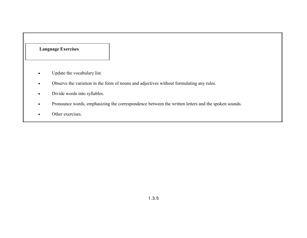- •Update the vocabulary list.
- •Observe the variation in the form of nouns and adjectives without formulating any rules.
- •Divide words into syllables.
- •Pronounce words, emphasizing the correspondence between the written letters and the spoken sounds.
- •Other exercises.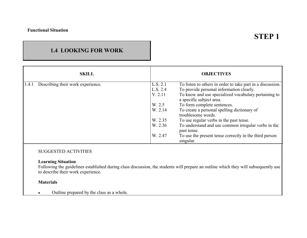## **STEP 1**

## **1.4 LOOKING FOR WORK**

|                                            | <b>SKILL</b> |          | <b>OBJECTIVES</b>                                                                |
|--------------------------------------------|--------------|----------|----------------------------------------------------------------------------------|
| 1.4.1<br>Describing their work experience. |              | L.S. 2.1 | To listen to others in order to take part in a discussion.                       |
|                                            |              | L.S. 2.4 | To provide personal information clearly.                                         |
|                                            |              | V. 2.11  | To know and use specialized vocabulary pertaining to<br>a specific subject area. |
|                                            |              | W. 2.5   | To form complete sentences.                                                      |
|                                            |              | W. 2.14  | To create a personal spelling dictionary of<br>troublesome words.                |
|                                            |              | W. 2.35  | To use regular verbs in the past tense.                                          |
|                                            |              | W. 2.36  | To understand and use common irregular verbs in the<br>past tense.               |
|                                            |              | W. 2.47  | To use the present tense correctly in the third person<br>singular.              |

#### SUGGESTED ACTIVITIES

#### **Learning Situation**

Following the guidelines established during class discussion, the students will prepare an outline which they will subsequently use to describe their work experience.

#### **Materials**

•Outline prepared by the class as a whole.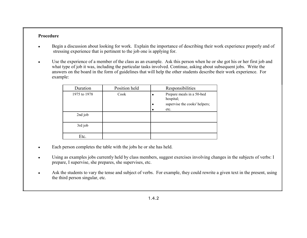#### **Procedure**

- • Begin a discussion about looking for work. Explain the importance of describing their work experience properly and of stressing experience that is pertinent to the job one is applying for.
- • Use the experience of a member of the class as an example. Ask this person when he or she got his or her first job and what type of job it was, including the particular tasks involved. Continue, asking about subsequent jobs. Write the answers on the board in the form of guidelines that will help the other students describe their work experience. For example:

| Duration     | Position held | Responsibilities                                                                |
|--------------|---------------|---------------------------------------------------------------------------------|
| 1975 to 1978 | Cook          | Prepare meals in a 50-bed<br>hospital;<br>supervise the cooks' helpers;<br>etc. |
| 2nd job      |               |                                                                                 |
|              |               |                                                                                 |
| 3rd job      |               |                                                                                 |
|              |               |                                                                                 |
| Etc.         |               |                                                                                 |

- •Each person completes the table with the jobs he or she has held.
- • Using as examples jobs currently held by class members, suggest exercises involving changes in the subjects of verbs: I prepare, I supervise, she prepares, she supervises, etc.
- • Ask the students to vary the tense and subject of verbs. For example, they could rewrite a given text in the present, using the third person singular, etc.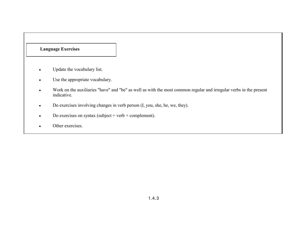- •Update the vocabulary list.
- $\bullet$ Use the appropriate vocabulary.
- • Work on the auxiliaries "have" and "be" as well as with the most common regular and irregular verbs in the present indicative.
- •Do exercises involving changes in verb person (I, you, she, he, we, they).
- •Do exercises on syntax (subject + verb + complement).
- •Other exercises.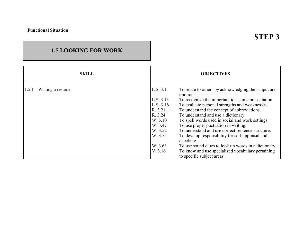## **STEP 3**

## **1.5 LOOKING FOR WORK**

| <b>SKILL</b>               | <b>OBJECTIVES</b>                                                                                                                                                                                                                                                                                                                                                                                                                                                                                                                                                                                                                                                                                                                                           |  |
|----------------------------|-------------------------------------------------------------------------------------------------------------------------------------------------------------------------------------------------------------------------------------------------------------------------------------------------------------------------------------------------------------------------------------------------------------------------------------------------------------------------------------------------------------------------------------------------------------------------------------------------------------------------------------------------------------------------------------------------------------------------------------------------------------|--|
| Writing a resume.<br>1.5.1 | L.S. 3.1<br>To relate to others by acknowledging their input and<br>opinions.<br>L.S. 3.13<br>To recognize the important ideas in a presentation.<br>To evaluate personal strengths and weaknesses.<br>L.S. 3.16<br>To understand the concept of abbreviations.<br>R. 3.21<br>To understand and use a dictionary.<br>R. 3.24<br>To spell words used in social and work settings.<br>W. 3.10<br>To use proper puctuation in writing.<br>W. 3.47<br>To understand and use correct sentence structure.<br>W. 3.52<br>W. 3.55<br>To develop responsibility for self-appraisal and<br>checking.<br>W. 3.63<br>To use sound clues to look up words in a dictionary.<br>To know and use specialized vocabulary pertaining<br>V. 3.16<br>to specific subject areas. |  |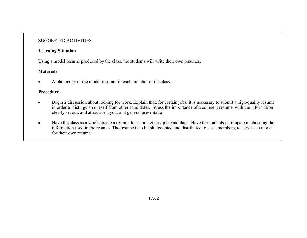#### SUGGESTED ACTIVITIES

#### **Learning Situation**

Using a model resume produced by the class, the students will write their own resumes.

#### **Materials**

•A photocopy of the model resume for each member of the class.

#### **Procedure**

- • Begin a discussion about looking for work. Explain that, for certain jobs, it is necessary to submit a high-quality resume in order to distinguish oneself from other candidates. Stress the importance of a coherent resume, with the information clearly set out, and attractive layout and general presentation.
- • Have the class as a whole create a resume for an imaginary job candidate. Have the students participate in choosing the information used in the resume. The resume is to be photocopied and distributed to class members, to serve as a model for their own resume.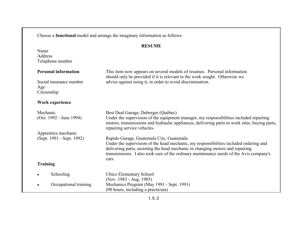Choose a **functional** model and arrange the imaginary information as follows: **RESUME**NameAddressTelephone number **Personal information** This item now appears on several models of resumes. Personal information should only be provided if it is relevant to the work sought. Otherwise we Social insurance number advise against using it, in order to avoid discrimination. Age Citizenship **Work experience** Mechanic Best Deal Garage, Duberger (Québec)<br>
(Oct. 1992 - June 1994) Under the supervision of the equipmer Under the supervision of the equipment manager, my responsibilities included repairing motors, transmissions and hydraulic appliances, delivering parts to work sites, buying parts, repairing service vehicles. Apprentice mechanic (Sept. 1991 - Sept. 1992) Rapido Garage, Guatemala City, Guatemala Under the supervision of the head mechanic, my responsibilities included ordering and delivering parts, assisting the head mechanic in changing motors and repairing transmissions. I also took care of the ordinary maintenance needs of the Avis company's cars.**Training** •Schooling Ubico Elementary School (Nov. 1983 - Aug. 1985) • Occupational training Mechanics Program (May 1991 - Sept. 1991) (90 hours, including a practicum)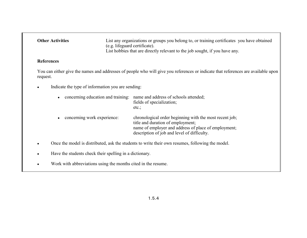| <b>Other Activities</b> | List any organizations or groups you belong to, or training certificates you have obtained |
|-------------------------|--------------------------------------------------------------------------------------------|
|                         | (e.g. lifeguard certificate).                                                              |
|                         | List hobbies that are directly relevant to the job sought, if you have any.                |

#### **References**

You can either give the names and addresses of people who will give you references or indicate that references are available upon request.

•Indicate the type of information you are sending:

| concerning education and training: | name and address of schools attended;<br>fields of specialization;<br>$etc.$ ;                                                                                                                      |
|------------------------------------|-----------------------------------------------------------------------------------------------------------------------------------------------------------------------------------------------------|
| concerning work experience:        | chronological order beginning with the most recent job;<br>title and duration of employment;<br>name of employer and address of place of employment;<br>description of job and level of difficulty. |

- •Once the model is distributed, ask the students to write their own resumes, following the model.
- •Have the students check their spelling in a dictionary.
- •Work with abbreviations using the months cited in the resume.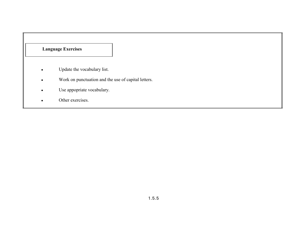- •Update the vocabulary list.
- •Work on punctuation and the use of capital letters.
- $\bullet$ Use appopriate vocabulary.
- •Other exercises.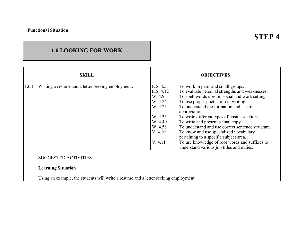## **1.6 LOOKING FOR WORK**

| <b>SKILL</b> |                                                          | <b>OBJECTIVES</b> |                                                                                             |
|--------------|----------------------------------------------------------|-------------------|---------------------------------------------------------------------------------------------|
| 1.6.1        | Writing a resume and a letter seeking employment.        | L.S. 4.5          | To work in pairs and small groups.                                                          |
|              |                                                          | L.S. 4.12         | To evaluate personal strengths and weaknesses.                                              |
|              |                                                          | W. 4.9            | To spell words used in social and work settings.                                            |
|              |                                                          | W. 4.24           | To use proper puctuation in writing.                                                        |
|              |                                                          | W. 4.25           | To understand the formation and use of<br>abbreviations.                                    |
|              |                                                          | W. 4.35           | To write different types of business letters.                                               |
|              |                                                          | W. 4.40           | To write and present a final copy.                                                          |
|              |                                                          | W. 4.58           | To understand and use correct sentence structure.                                           |
|              |                                                          | V. 4.10           | To know and use specialized vocabulary<br>pertaining to a specific subject area.            |
|              |                                                          | V. 4.11           | To use knowledge of root words and suffixes to<br>understand various job titles and duties. |
|              | <b>SUGGESTED ACTIVITIES</b><br><b>Learning Situation</b> |                   |                                                                                             |

Using an example, the students will write a resume and a letter seeking employment.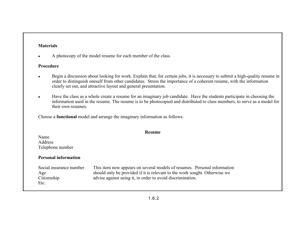#### **Materials**

•A photocopy of the model resume for each member of the class.

#### **Procedure**

- • Begin a discussion about looking for work. Explain that, for certain jobs, it is necessary to submit a high-quality resume in order to distinguish oneself from other candidates. Stress the importance of a coherent resume, with the information clearly set out, and attractive layout and general presentation.
- • Have the class as a whole create a resume for an imaginary job candidate. Have the students participate in choosing the information used in the resume. The resume is to be photocopied and distributed to class members, to serve as a model for their own resumes.

Choose a **functional** model and arrange the imaginary information as follows:

| Resume                                                |                                                                                                                                                                                                                      |  |  |  |  |  |
|-------------------------------------------------------|----------------------------------------------------------------------------------------------------------------------------------------------------------------------------------------------------------------------|--|--|--|--|--|
| Name<br>Address<br>Telephone number                   |                                                                                                                                                                                                                      |  |  |  |  |  |
| <b>Personal information</b>                           |                                                                                                                                                                                                                      |  |  |  |  |  |
| Social insurance number<br>Age<br>Citizenship<br>Etc. | This item now appears on several models of resumes. Personal information<br>should only be provided if it is relevant to the work sought. Otherwise we<br>advise against using it, in order to avoid discrimination. |  |  |  |  |  |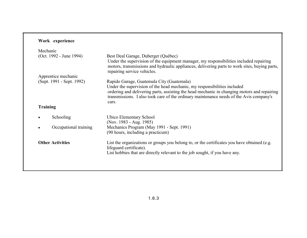## **Work experience**

|                           | Mechanic                |                                                                                                                                                                                                                                                                                                                          |  |  |  |
|---------------------------|-------------------------|--------------------------------------------------------------------------------------------------------------------------------------------------------------------------------------------------------------------------------------------------------------------------------------------------------------------------|--|--|--|
|                           | (Oct. 1992 - June 1994) | Best Deal Garage, Duberger (Québec)<br>Under the supervision of the equipment manager, my responsibilities included repairing<br>motors, transmissions and hydraulic appliances, delivering parts to work sites, buying parts,<br>repairing service vehicles.                                                            |  |  |  |
|                           | Apprentice mechanic     |                                                                                                                                                                                                                                                                                                                          |  |  |  |
| (Sept. 1991 - Sept. 1992) |                         | Rapido Garage, Guatemala City (Guatemala)<br>Under the supervision of the head mechanic, my responsibilities included<br>ordering and delivering parts, assisting the head mechanic in changing motors and repairing<br>transmissions. I also took care of the ordinary maintenance needs of the Avis company's<br>cars. |  |  |  |
|                           | <b>Training</b>         |                                                                                                                                                                                                                                                                                                                          |  |  |  |
|                           | Schooling               | Ubico Elementary School<br>(Nov. 1983 - Aug. 1985)                                                                                                                                                                                                                                                                       |  |  |  |
|                           | Occupational training   | Mechanics Program (May 1991 - Sept. 1991)<br>(90 hours, including a practicum)                                                                                                                                                                                                                                           |  |  |  |
|                           | <b>Other Activities</b> | List the organizations or groups you belong to, or the certificates you have obtained (e.g.<br>lifeguard certificate).<br>List hobbies that are directly relevant to the job sought, if you have any.                                                                                                                    |  |  |  |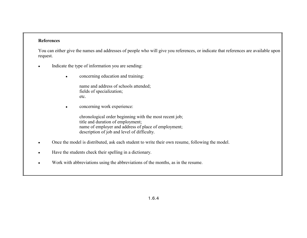#### **References**

You can either give the names and addresses of people who will give you references, or indicate that references are available upon request.

- • Indicate the type of information you are sending:
	- •concerning education and training:

name and address of schools attended; fields of specialization; etc.

•concerning work experience:

> chronological order beginning with the most recent job; title and duration of employment; name of employer and address of place of employment; description of job and level of difficulty.

- •Once the model is distributed, ask each student to write their own resume, following the model.
- •Have the students check their spelling in a dictionary.
- •Work with abbreviations using the abbreviations of the months, as in the resume.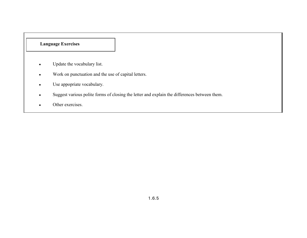- •Update the vocabulary list.
- •Work on punctuation and the use of capital letters.
- •Use appopriate vocabulary.
- •Suggest various polite forms of closing the letter and explain the differences between them.
- •Other exercises.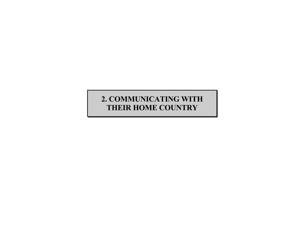## **2. COMMUNICATING WITH THEIR HOME COUNTRY**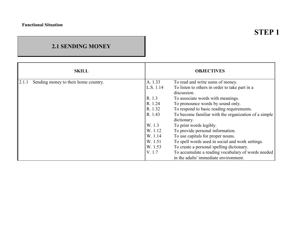## **2.1 SENDING MONEY**

|       | <b>SKILL</b>                         |           | <b>OBJECTIVES</b>                                                   |
|-------|--------------------------------------|-----------|---------------------------------------------------------------------|
| 2.1.1 | Sending money to their home country. | A. 1.33   | To read and write sums of money.                                    |
|       |                                      | L.S. 1.14 | To listen to others in order to take part in a                      |
|       |                                      |           | discussion.                                                         |
|       |                                      | R. 1.3    | To associate words with meanings.                                   |
|       |                                      | R. 1.24   | To pronounce words by sound only.                                   |
|       |                                      | R. 1.32   | To respond to basic reading requirements.                           |
|       |                                      | R. 1.43   | To become familiar with the organization of a simple<br>dictionary. |
|       |                                      | W. 1.3    | To print words legibly.                                             |
|       |                                      | W. 1.12   | To provide personal information.                                    |
|       |                                      | W. 1.14   | To use capitals for proper nouns.                                   |
|       |                                      | W. 1.51   | To spell words used in social and work settings.                    |
|       |                                      | W. 1.53   | To create a personal spelling dictionary.                           |
|       |                                      | V. 1.7    | To accumulate a reading vocabulary of words needed                  |
|       |                                      |           | in the adults' immediate environment.                               |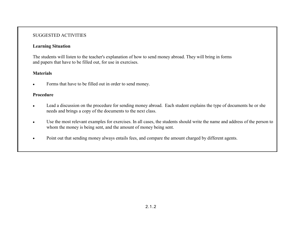#### SUGGESTED ACTIVITIES

#### **Learning Situation**

The students will listen to the teacher's explanation of how to send money abroad. They will bring in forms and papers that have to be filled out, for use in exercises.

#### **Materials**

•Forms that have to be filled out in order to send money.

#### **Procedure**

- • Lead a discussion on the procedure for sending money abroad. Each student explains the type of documents he or she needs and brings a copy of the documents to the next class.
- • Use the most relevant examples for exercises. In all cases, the students should write the name and address of the person to whom the money is being sent, and the amount of money being sent.
- •Point out that sending money always entails fees, and compare the amount charged by different agents.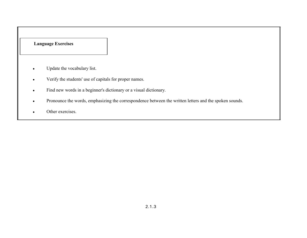- $\bullet$ Update the vocabulary list.
- •Verify the students' use of capitals for proper names.
- •Find new words in a beginner's dictionary or a visual dictionary.
- $\bullet$ Pronounce the words, emphasizing the correspondence between the written letters and the spoken sounds.
- •Other exercises.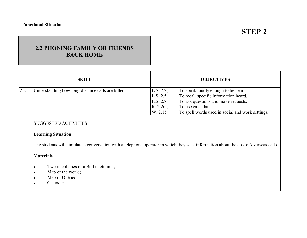# **STEP 2**

## **2.2 PHONING FAMILY OR FRIENDSBACK HOME**

| <b>SKILL</b>                                               | <b>OBJECTIVES</b>                                                                                                                                                                                                                                      |
|------------------------------------------------------------|--------------------------------------------------------------------------------------------------------------------------------------------------------------------------------------------------------------------------------------------------------|
| 2.2.1<br>Understanding how long-distance calls are billed. | L.S. 2.2<br>To speak loudly enough to be heard.<br>To recall specific information heard.<br>L.S. 2.5<br>To ask questions and make requests.<br>L.S. 2.8<br>To use calendars.<br>R. 2.26<br>To spell words used in social and work settings.<br>W. 2.15 |

#### SUGGESTED ACTIVITIES

#### **Learning Situation**

The students will simulate a conversation with a telephone operator in which they seek information about the cost of overseas calls.

#### **Materials**

- •Two telephones or a Bell teletrainer;
- •Map of the world;
- •Map of Québec;
- •Calendar.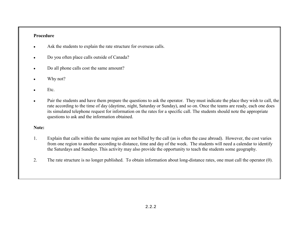#### **Procedure**

- •Ask the students to explain the rate structure for overseas calls.
- •Do you often place calls outside of Canada?
- •Do all phone calls cost the same amount?
- •Why not?
- •Etc.
- • Pair the students and have them prepare the questions to ask the operator. They must indicate the place they wish to call, the rate according to the time of day (daytime, night, Saturday or Sunday), and so on. Once the teams are ready, each one does its simulated telephone request for information on the rates for a specific call. The students should note the appropriate questions to ask and the information obtained.

#### **Note:**

- 1. Explain that calls within the same region are not billed by the call (as is often the case abroad). However, the cost varies from one region to another according to distance, time and day of the week. The students will need a calendar to identify the Saturdays and Sundays. This activity may also provide the opportunity to teach the students some geography.
- 2. The rate structure is no longer published. To obtain information about long-distance rates, one must call the operator (0).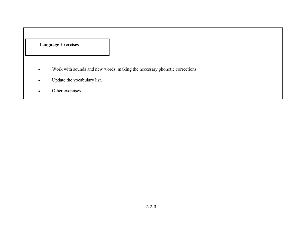- •Work with sounds and new words, making the necessary phonetic corrections.
- •Update the vocabulary list.
- •Other exercises.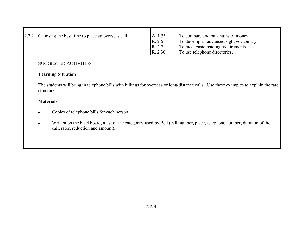| $\vert 2.2.2$ Choosing the best time to place an overseas call. | A. 1.35 | To compare and rank sums of money.       |
|-----------------------------------------------------------------|---------|------------------------------------------|
|                                                                 | R. 2.6  | To develop an advanced sight vocabulary. |
|                                                                 | R. 2.7  | To meet basic reading requirements.      |
|                                                                 | R. 2.30 | To use telephone directories.            |

#### SUGGESTED ACTIVITIES

#### **Learning Situation**

The students will bring in telephone bills with billings for overseas or long-distance calls. Use these examples to explain the rate structure.

#### **Materials**

- •Copies of telephone bills for each person;
- • Written on the blackboard, a list of the categories used by Bell (call number, place, telephone number, duration of the call, rates, reduction and amount).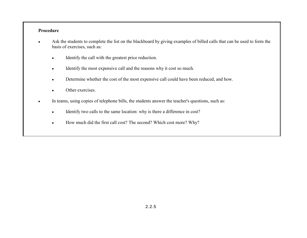#### **Procedure**

- • Ask the students to complete the list on the blackboard by giving examples of billed calls that can be used to form the basis of exercises, such as:
	- •Identify the call with the greatest price reduction.
	- •Identify the most expensive call and the reasons why it cost so much.
	- $\bullet$ Determine whether the cost of the most expensive call could have been reduced, and how.
	- •Other exercises.
- • In teams, using copies of telephone bills, the students answer the teacher's questions, such as:
	- •Identify two calls to the same location: why is there a difference in cost?
	- •How much did the first call cost? The second? Which cost more? Why?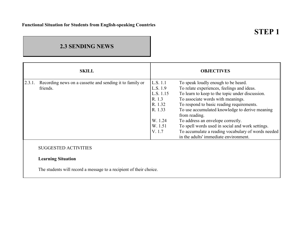# **STEP 1**

## **2.3 SENDING NEWS**

|        | <b>SKILL</b>                                                         |                                                                                                   | <b>OBJECTIVES</b>                                                                                                                                                                                                                                                                                                                                                                                                                                                                 |
|--------|----------------------------------------------------------------------|---------------------------------------------------------------------------------------------------|-----------------------------------------------------------------------------------------------------------------------------------------------------------------------------------------------------------------------------------------------------------------------------------------------------------------------------------------------------------------------------------------------------------------------------------------------------------------------------------|
| 2.3.1. | Recording news on a cassette and sending it to family or<br>friends. | L.S. 1.1<br>L.S. 1.9<br>L.S. 1.15<br>R. 1.3<br>R. 1.32<br>R. 1.33<br>W. 1.24<br>W. 1.51<br>V. 1.7 | To speak loudly enough to be heard.<br>To relate experiences, feelings and ideas.<br>To learn to keep to the topic under discussion.<br>To associate words with meanings.<br>To respond to basic reading requirements.<br>To use accumulated knowledge to derive meaning<br>from reading.<br>To address an envelope correctly.<br>To spell words used in social and work settings.<br>To accumulate a reading vocabulary of words needed<br>in the adults' immediate environment. |
|        | <b>SUGGESTED ACTIVITIES</b>                                          |                                                                                                   |                                                                                                                                                                                                                                                                                                                                                                                                                                                                                   |
|        | <b>Learning Situation</b>                                            |                                                                                                   |                                                                                                                                                                                                                                                                                                                                                                                                                                                                                   |
|        | The students will record a message to a recipient of their choice.   |                                                                                                   |                                                                                                                                                                                                                                                                                                                                                                                                                                                                                   |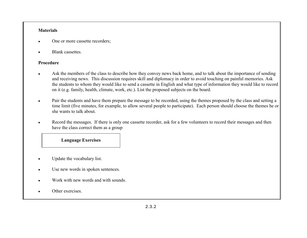#### **Materials**

- •One or more cassette recorders;
- •Blank cassettes.

#### **Procedure**

- • Ask the members of the class to describe how they convey news back home, and to talk about the importance of sending and receiving news. This discussion requires skill and diplomacy in order to avoid touching on painful memories. Ask the students to whom they would like to send a cassette in English and what type of information they would like to record on it (e.g. family, health, climate, work, etc.). List the proposed subjects on the board.
- • Pair the students and have them prepare the message to be recorded, using the themes proposed by the class and setting a time limit (five minutes, for example, to allow several people to participate). Each person should choose the themes he or she wants to talk about.
- • Record the messages. If there is only one cassette recorder, ask for a few volunteers to record their messages and then have the class correct them as a group

- •Update the vocabulary list.
- •Use new words in spoken sentences.
- •Work with new words and with sounds.
- •Other exercises.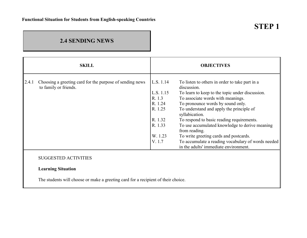## **2.4 SENDING NEWS**

|       | <b>SKILL</b>                                                                      |           | <b>OBJECTIVES</b>                                                                           |
|-------|-----------------------------------------------------------------------------------|-----------|---------------------------------------------------------------------------------------------|
| 2.4.1 | Choosing a greeting card for the purpose of sending news<br>to family or friends. | L.S. 1.14 | To listen to others in order to take part in a<br>discussion.                               |
|       |                                                                                   | L.S. 1.15 | To learn to keep to the topic under discussion.                                             |
|       |                                                                                   | R. 1.3    | To associate words with meanings.                                                           |
|       |                                                                                   | R. 1.24   | To pronounce words by sound only.                                                           |
|       |                                                                                   | R. 1.25   | To understand and apply the principle of<br>syllabication.                                  |
|       |                                                                                   | R. 1.32   | To respond to basic reading requirements.                                                   |
|       |                                                                                   | R. 1.33   | To use accumulated knowledge to derive meaning<br>from reading.                             |
|       |                                                                                   | W. 1.23   | To write greeting cards and postcards.                                                      |
|       |                                                                                   | V. 1.7    | To accumulate a reading vocabulary of words needed<br>in the adults' immediate environment. |
|       | <b>SUGGESTED ACTIVITIES</b>                                                       |           |                                                                                             |
|       | <b>Learning Situation</b>                                                         |           |                                                                                             |

The students will choose or make a greeting card for a recipient of their choice.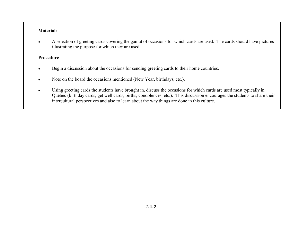#### **Materials**

• A selection of greeting cards covering the gamut of occasions for which cards are used. The cards should have pictures illustrating the purpose for which they are used.

#### **Procedure**

- $\bullet$ Begin a discussion about the occasions for sending greeting cards to their home countries.
- $\bullet$ Note on the board the occasions mentioned (New Year, birthdays, etc.).
- • Using greeting cards the students have brought in, discuss the occasions for which cards are used most typically in QuÈbec (birthday cards, get well cards, births, condolences, etc.). This discussion encourages the students to share their intercultural perspectives and also to learn about the way things are done in this culture.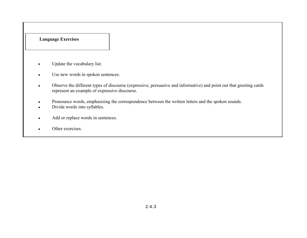- •Update the vocabulary list.
- $\bullet$ Use new words in spoken sentences.
- $\bullet$  Observe the different types of discourse (expressive, persuasive and informative) and point out that greeting cards represent an example of expressive discourse.
- •Pronounce words, emphasizing the correspondence between the written letters and the spoken sounds.
- •Divide words into syllables.
- $\bullet$ Add or replace words in sentences.
- •Other exercises.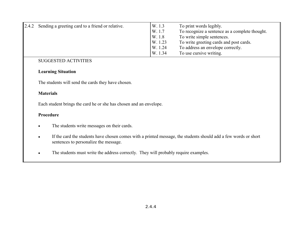| 2.4.2 | Sending a greeting card to a friend or relative. | W. 1.3  | To print words legibly.                        |
|-------|--------------------------------------------------|---------|------------------------------------------------|
|       |                                                  | W. 1.7  | To recognize a sentence as a complete thought. |
|       |                                                  | W. 1.8  | To write simple sentences.                     |
|       |                                                  | W. 1.23 | To write greeting cards and post cards.        |
|       |                                                  | W. 1.24 | To address an envelope correctly.              |
|       |                                                  | W. 1.34 | To use cursive writing.                        |

#### SUGGESTED ACTIVITIES

#### **Learning Situation**

The students will send the cards they have chosen.

#### **Materials**

Each student brings the card he or she has chosen and an envelope.

#### **Procedure**

- $\bullet$ The students write messages on their cards.
- • If the card the students have chosen comes with a printed message, the students should add a few words or short sentences to personalize the message.
- •The students must write the address correctly. They will probably require examples.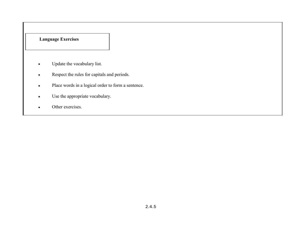- $\bullet$ Update the vocabulary list.
- $\bullet$ Respect the rules for capitals and periods.
- •Place words in a logical order to form a sentence.
- $\bullet$ Use the appropriate vocabulary.
- •Other exercises.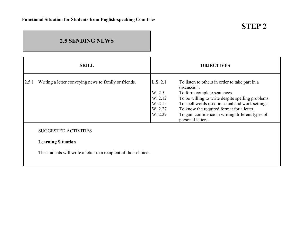## **2.5 SENDING NEWS**

|       | <b>SKILL</b>                                                                                                                 |                                                                | <b>OBJECTIVES</b>                                                                                                                                                                                                                                                                                                           |
|-------|------------------------------------------------------------------------------------------------------------------------------|----------------------------------------------------------------|-----------------------------------------------------------------------------------------------------------------------------------------------------------------------------------------------------------------------------------------------------------------------------------------------------------------------------|
| 2.5.1 | Writing a letter conveying news to family or friends.                                                                        | L.S. 2.1<br>W. 2.5<br>W. 2.12<br>W. 2.15<br>W. 2.27<br>W. 2.29 | To listen to others in order to take part in a<br>discussion.<br>To form complete sentences.<br>To be willing to write despite spelling problems.<br>To spell words used in social and work settings.<br>To know the required format for a letter.<br>To gain confidence in writing different types of<br>personal letters. |
|       | <b>SUGGESTED ACTIVITIES</b><br><b>Learning Situation</b><br>The students will write a letter to a recipient of their choice. |                                                                |                                                                                                                                                                                                                                                                                                                             |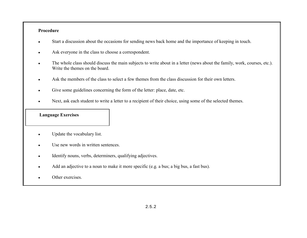#### **Procedure**

- •Start a discussion about the occasions for sending news back home and the importance of keeping in touch.
- $\bullet$ Ask everyone in the class to choose a correspondent.
- • The whole class should discuss the main subjects to write about in a letter (news about the family, work, courses, etc.). Write the themes on the board.
- $\bullet$ Ask the members of the class to select a few themes from the class discussion for their own letters.
- •Give some guidelines concerning the form of the letter: place, date, etc.
- •Next, ask each student to write a letter to a recipient of their choice, using some of the selected themes.

- •Update the vocabulary list.
- •Use new words in written sentences.
- •Identify nouns, verbs, determiners, qualifying adjectives.
- •Add an adjective to a noun to make it more specific (e.g. a bus; a big bus, a fast bus).
- •Other exercises.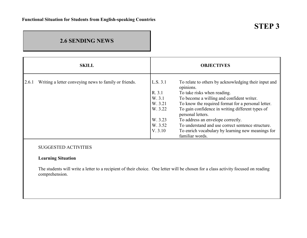## **2.6 SENDING NEWS**

|       | <b>SKILL</b>                                          |          | <b>OBJECTIVES</b>                                                     |
|-------|-------------------------------------------------------|----------|-----------------------------------------------------------------------|
| 2.6.1 | Writing a letter conveying news to family or friends. | L.S. 3.1 | To relate to others by acknowledging their input and                  |
|       |                                                       | R. 3.1   | opinions.<br>To take risks when reading.                              |
|       |                                                       | W. 3.1   | To become a willing and confident writer.                             |
|       |                                                       | W. 3.21  | To know the required format for a personal letter.                    |
|       |                                                       | W. 3.22  | To gain confidence in writing different types of<br>personal letters. |
|       |                                                       | W. 3.23  | To address an envelope correctly.                                     |
|       |                                                       | W. 3.52  | To understand and use correct sentence structure.                     |
|       |                                                       | V. 3.10  | To enrich vocabulary by learning new meanings for<br>familiar words.  |
|       | <b>SUGGESTED ACTIVITIES</b>                           |          |                                                                       |

#### **Learning Situation**

The students will write a letter to a recipient of their choice. One letter will be chosen for a class activity focused on reading comprehension.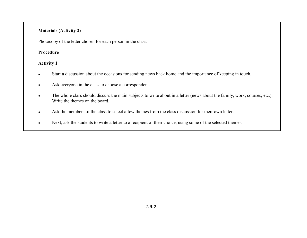#### **Materials (Activity 2)**

Photocopy of the letter chosen for each person in the class.

#### **Procedure**

#### **Activity 1**

- •Start a discussion about the occasions for sending news back home and the importance of keeping in touch.
- $\bullet$ Ask everyone in the class to choose a correspondent.
- • The whole class should discuss the main subjects to write about in a letter (news about the family, work, courses, etc.). Write the themes on the board.
- $\bullet$ Ask the members of the class to select a few themes from the class discussion for their own letters.
- $\bullet$ Next, ask the students to write a letter to a recipient of their choice, using some of the selected themes.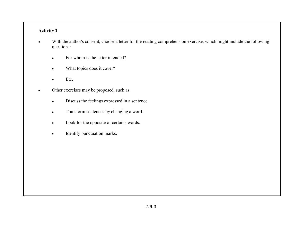#### **Activity 2**

- • With the author's consent, choose a letter for the reading comprehension exercise, which might include the following questions:
	- •For whom is the letter intended?
	- •What topics does it cover?
	- •Etc.
- • Other exercises may be proposed, such as:
	- •Discuss the feelings expressed in a sentence.
	- $\bullet$ Transform sentences by changing a word.
	- $\bullet$ Look for the opposite of certains words.
	- •Identify punctuation marks.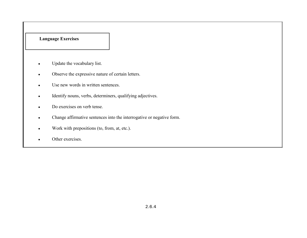- •Update the vocabulary list.
- $\bullet$ Observe the expressive nature of certain letters.
- •Use new words in written sentences.
- $\bullet$ Identify nouns, verbs, determiners, qualifying adjectives.
- $\bullet$ Do exercises on verb tense.
- $\bullet$ Change affirmative sentences into the interrogative or negative form.
- •Work with prepositions (to, from, at, etc.).
- •Other exercises.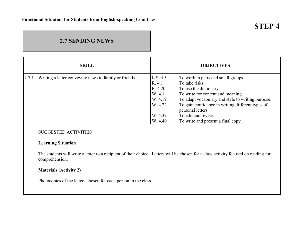## **2.7 SENDING NEWS**

|       | <b>SKILL</b>                                          |                    | <b>OBJECTIVES</b>                                                     |
|-------|-------------------------------------------------------|--------------------|-----------------------------------------------------------------------|
| 2.7.1 | Writing a letter conveying news to family or friends. | L.S. 4.5<br>R. 4.1 | To work in pairs and small groups.<br>To take risks.                  |
|       |                                                       | R. 4.20            | To use the dictionary.                                                |
|       |                                                       | W. 4.1             | To write for content and meaning.                                     |
|       |                                                       | W. 4.19            | To adapt vocabulary and style to writing purpose.                     |
|       |                                                       | W. 4.22            | To gain confidence in writing different types of<br>personal letters. |
|       |                                                       | W. 4.39            | To edit and revise.                                                   |
|       |                                                       | W. 4.40            | To write and present a final copy.                                    |

#### SUGGESTED ACTIVITIES

#### **Learning Situation**

The students will write a letter to a recipient of their choice. Letters will be chosen for a class activity focused on reading for comprehension.

#### **Materials (Activity 2)**

Photocopies of the letters chosen for each person in the class.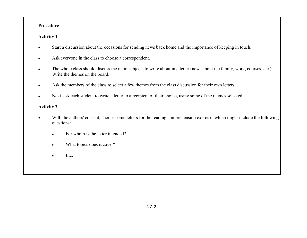#### **Procedure**

#### **Activity 1**

- •Start a discussion about the occasions for sending news back home and the importance of keeping in touch.
- $\bullet$ Ask everyone in the class to choose a correspondent.
- $\bullet$  The whole class should discuss the main subjects to write about in a letter (news about the family, work, courses, etc.). Write the themes on the board.
- •Ask the members of the class to select a few themes from the class discussion for their own letters.
- •Next, ask each student to write a letter to a recipient of their choice, using some of the themes selected.

#### **Activity 2**

- • With the authors' consent, choose some letters for the reading comprehension exercise, which might include the following questions:
	- •For whom is the letter intended?
	- •What topics does it cover?
	- •Etc.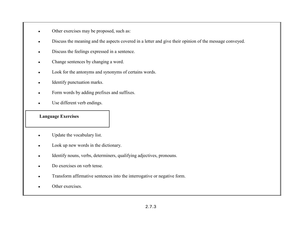- •Other exercises may be proposed, such as:
- •Discuss the meaning and the aspects covered in a letter and give their opinion of the message conveyed.
- •Discuss the feelings expressed in a sentence.
- $\bullet$ Change sentences by changing a word.
- •Look for the antonyms and synonyms of certains words.
- •Identify punctuation marks.
- •Form words by adding prefixes and suffixes.
- •Use different verb endings.

- •Update the vocabulary list.
- •Look up new words in the dictionary.
- $\bullet$ Identify nouns, verbs, determiners, qualifying adjectives, pronouns.
- •Do exercises on verb tense.
- •Transform affirmative sentences into the interrogative or negative form.
- •Other exercises.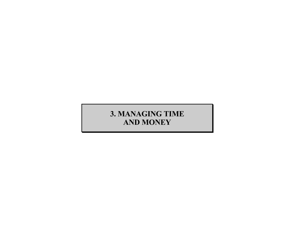# **3. MANAGING TIME AND MONEY**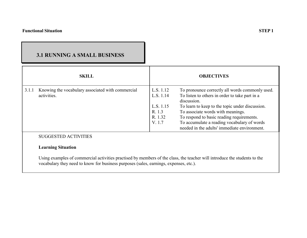## **3.1 RUNNING A SMALL BUSINESS**

|       | <b>SKILL</b>                                                     |                                     | <b>OBJECTIVES</b>                                                                                                                                                             |
|-------|------------------------------------------------------------------|-------------------------------------|-------------------------------------------------------------------------------------------------------------------------------------------------------------------------------|
| 3.1.1 | Knowing the vocabulary associated with commercial<br>activities. | L.S. 1.12<br>L.S. 1.14<br>L.S. 1.15 | To pronounce correctly all words commonly used.<br>To listen to others in order to take part in a<br>discussion.<br>To learn to keep to the topic under discussion.           |
|       |                                                                  | R. 1.3<br>R. 1.32<br>V. 1.7         | To associate words with meanings.<br>To respond to basic reading requirements.<br>To accumulate a reading vocabulary of words<br>needed in the adults' immediate environment. |
|       | <b>SUGGESTED ACTIVITIES</b><br><b>Learning Situation</b>         |                                     |                                                                                                                                                                               |

Using examples of commercial activities practised by members of the class, the teacher will introduce the students to the vocabulary they need to know for business purposes (sales, earnings, expenses, etc.).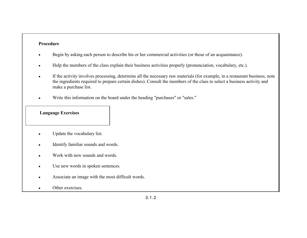#### **Procedure**

- •Begin by asking each person to describe his or her commercial activities (or those of an acquaintance).
- •Help the members of the class explain their business activities properly (pronunciation, vocabulary, etc.).
- • If the activity involves processing, determine all the necessary raw materials (for example, in a restaurant business, note the ingredients required to prepare certain dishes). Consult the members of the class to select a business activity and make a purchase list.
- •Write this information on the board under the heading "purchases" or "sales."

- •Update the vocabulary list.
- •Identify familiar sounds and words.
- •Work with new sounds and words.
- •Use new words in spoken sentences.
- •Associate an image with the most difficult words.
- •Other exercises.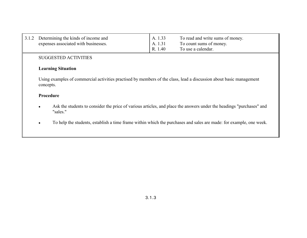| 3.1.2                                                                                                                                                      |           | Determining the kinds of income and<br>expenses associated with businesses.                                        | A. 1.33<br>A. 1.31<br>R. 1.40 | To read and write sums of money.<br>To count sums of money.<br>To use a calendar. |
|------------------------------------------------------------------------------------------------------------------------------------------------------------|-----------|--------------------------------------------------------------------------------------------------------------------|-------------------------------|-----------------------------------------------------------------------------------|
|                                                                                                                                                            |           | <b>SUGGESTED ACTIVITIES</b>                                                                                        |                               |                                                                                   |
|                                                                                                                                                            |           | <b>Learning Situation</b>                                                                                          |                               |                                                                                   |
| Using examples of commercial activities practised by members of the class, lead a discussion about basic management<br>concepts.                           |           |                                                                                                                    |                               |                                                                                   |
| Procedure<br>Ask the students to consider the price of various articles, and place the answers under the headings "purchases" and<br>$\bullet$<br>"sales." |           |                                                                                                                    |                               |                                                                                   |
|                                                                                                                                                            |           |                                                                                                                    |                               |                                                                                   |
|                                                                                                                                                            | $\bullet$ | To help the students, establish a time frame within which the purchases and sales are made: for example, one week. |                               |                                                                                   |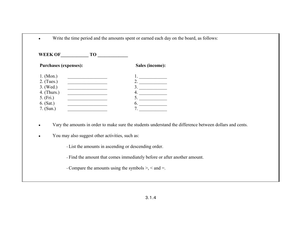| <b>WEEK OF</b><br>TO T                                    |                 |
|-----------------------------------------------------------|-----------------|
| <b>Purchases (expenses):</b>                              | Sales (income): |
| 1. (Mon.)                                                 |                 |
| $2.$ (Tues.)                                              | 2.              |
| 3. (Wed.)<br>the control of the control of the control of | 3.              |
| $4.$ (Thurs.)                                             | 4.              |
| $5.$ (Fri.)                                               | 5.              |
| $6.$ (Sat.)                                               | 6.              |
| 7. $(Sun.)$                                               | 7.              |

- •Vary the amounts in order to make sure the students understand the difference between dollars and cents.
- •You may also suggest other activities, such as:

- List the amounts in ascending or descending order.

- Find the amount that comes immediately before or after another amount.

- Compare the amounts using the symbols >, < and =.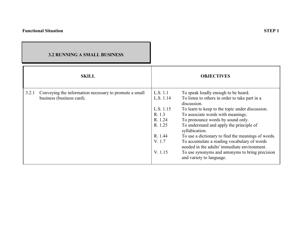### **3.2 RUNNING A SMALL BUSINESS**

| <b>SKILL</b>                                                                                 |                                                                                                    | <b>OBJECTIVES</b>                                                                                                                                                                                                                                                                                                                                                                                                                                                                                                                   |
|----------------------------------------------------------------------------------------------|----------------------------------------------------------------------------------------------------|-------------------------------------------------------------------------------------------------------------------------------------------------------------------------------------------------------------------------------------------------------------------------------------------------------------------------------------------------------------------------------------------------------------------------------------------------------------------------------------------------------------------------------------|
| 3.2.1<br>Conveying the information necessary to promote a small<br>business (business card). | L.S. 1.1<br>L.S. 1.14<br>L.S. 1.15<br>R. 1.3<br>R. 1.24<br>R. 1.25<br>R. 1.44<br>V. 1.7<br>V. 1.15 | To speak loudly enough to be heard.<br>To listen to others in order to take part in a<br>discussion.<br>To learn to keep to the topic under discussion.<br>To associate words with meanings.<br>To pronounce words by sound only.<br>To understand and apply the principle of<br>syllabication.<br>To use a dictionary to find the meanings of words.<br>To accumulate a reading vocabulary of words<br>needed in the adults' immediate environment.<br>To use synonyms and antonyms to bring precision<br>and variety to language. |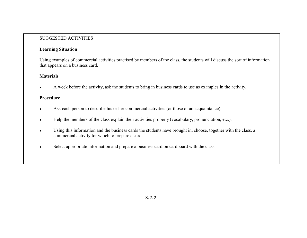#### SUGGESTED ACTIVITIES

#### **Learning Situation**

Using examples of commercial activities practised by members of the class, the students will discuss the sort of information that appears on a business card.

#### **Materials**

•A week before the activity, ask the students to bring in business cards to use as examples in the activity.

#### **Procedure**

- •Ask each person to describe his or her commercial activities (or those of an acquaintance).
- $\bullet$ Help the members of the class explain their activities properly (vocabulary, pronunciation, etc.).
- • Using this information and the business cards the students have brought in, choose, together with the class, a commercial activity for which to prepare a card.
- •Select appropriate information and prepare a business card on cardboard with the class.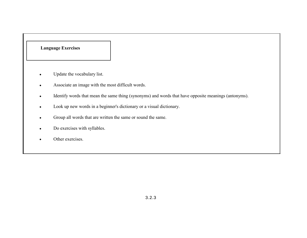- •Update the vocabulary list.
- •Associate an image with the most difficult words.
- •Identify words that mean the same thing (synonyms) and words that have opposite meanings (antonyms).
- •Look up new words in a beginner's dictionary or a visual dictionary.
- •Group all words that are written the same or sound the same.
- $\bullet$ Do exercises with syllables.
- •Other exercises.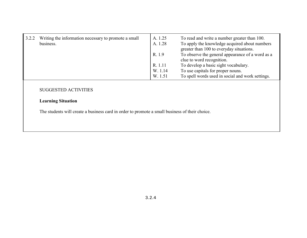| 3.2.2 | Writing the information necessary to promote a small | A. 1.25 | To read and write a number greater than 100.                                              |
|-------|------------------------------------------------------|---------|-------------------------------------------------------------------------------------------|
|       | business.                                            | A. 1.28 | To apply the knowledge acquired about numbers<br>greater than 100 to everyday situations. |
|       |                                                      | R. 1.9  | To observe the general appearance of a word as a<br>clue to word recognition.             |
|       |                                                      | R. 1.11 | To develop a basic sight vocabulary.                                                      |
|       |                                                      | W. 1.14 | To use capitals for proper nouns.                                                         |
|       |                                                      | W. 1.51 | To spell words used in social and work settings.                                          |

#### SUGGESTED ACTIVITIES

## **Learning Situation**

The students will create a business card in order to promote a small business of their choice.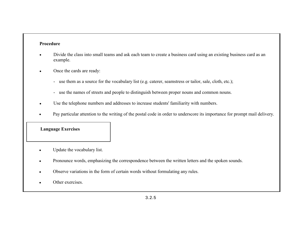#### **Procedure**

- • Divide the class into small teams and ask each team to create a business card using an existing business card as an example.
- • Once the cards are ready:
	- use them as a source for the vocabulary list (e.g. caterer, seamstress or tailor, sale, cloth, etc.);
	- use the names of streets and people to distinguish between proper nouns and common nouns.
- •Use the telephone numbers and addresses to increase students' familiarity with numbers.
- •Pay particular attention to the writing of the postal code in order to underscore its importance for prompt mail delivery.

- •Update the vocabulary list.
- $\bullet$ Pronounce words, emphasizing the correspondence between the written letters and the spoken sounds.
- •Observe variations in the form of certain words without formulating any rules.
- •Other exercises.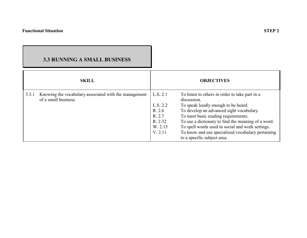# **3.3 RUNNING A SMALL BUSINESS**

|       | <b>SKILL</b>                                                                  |                                                                           | <b>OBJECTIVES</b>                                                                                                                                                                                                                                                                                                                                                                     |
|-------|-------------------------------------------------------------------------------|---------------------------------------------------------------------------|---------------------------------------------------------------------------------------------------------------------------------------------------------------------------------------------------------------------------------------------------------------------------------------------------------------------------------------------------------------------------------------|
| 3.3.1 | Knowing the vocabulary associated with the management<br>of a small business. | L.S. 2.1<br>L.S. 2.2<br>R. 2.6<br>R. 2.7<br>R. 2.32<br>W. 2.15<br>V. 2.11 | To listen to others in order to take part in a<br>discussion.<br>To speak loudly enough to be heard.<br>To develop an advanced sight vocabulary.<br>To meet basic reading requirements.<br>To use a dictionary to find the meaning of a word.<br>To spell words used in social and work settings.<br>To know and use specialized vocabulary pertaining<br>to a specific subject area. |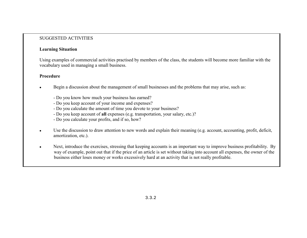#### SUGGESTED ACTIVITIES

#### **Learning Situation**

Using examples of commercial activities practised by members of the class, the students will become more familiar with the vocabulary used in managing a small business.

#### **Procedure**

- • Begin a discussion about the management of small businesses and the problems that may arise, such as:
	- Do you know how much your business has earned?
	- Do you keep account of your income and expenses?
	- Do you calculate the amount of time you devote to your business?
	- Do you keep account of **all** expenses (e.g. transportation, your salary, etc.)?
	- Do you calculate your profits, and if so, how?
- • Use the discussion to draw attention to new words and explain their meaning (e.g. account, accounting, profit, deficit, amortization, etc.).
- • Next, introduce the exercises, stressing that keeping accounts is an important way to improve business profitability. By way of example, point out that if the price of an article is set without taking into account all expenses, the owner of the business either loses money or works excessively hard at an activity that is not really profitable.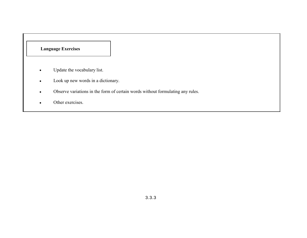- •Update the vocabulary list.
- •Look up new words in a dictionary.
- •Observe variations in the form of certain words without formulating any rules.
- •Other exercises.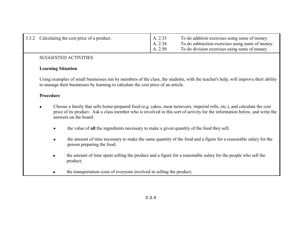| 3.3.2 Calculating the cost price of a product. | A. 2.33<br>A. 2.34<br>A. 2.50 | To do addition exercises using sums of money.<br>To do subtraction exercises using sums of money.<br>To do division exercises using sums of money. |
|------------------------------------------------|-------------------------------|----------------------------------------------------------------------------------------------------------------------------------------------------|
|                                                |                               |                                                                                                                                                    |

## **Learning Situation**

Using examples of small businesses run by members of the class, the students, with the teacher's help, will improve their ability to manage their businesses by learning to calculate the cost price of an article.

- • Choose a family that sells home-prepared food (e.g. cakes, meat turnovers, imperial rolls, etc.), and calculate the cost price of its product. Ask a class member who is involved in this sort of activity for the information below, and write the answers on the board:
	- •the value of **all** the ingredients necessary to make a given quantity of the food they sell;
	- • the amount of time necessary to make the same quantity of the food and a figure for a reasonable salary for the person preparing the food;
	- • the amount of time spent selling the product and a figure for a reasonable salary for the people who sell the product;
	- •the transportation costs of everyone involved in selling the product;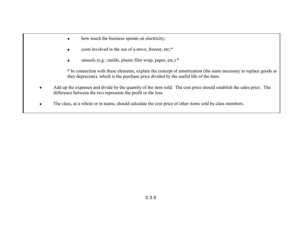- •how much the business spends on electricity;
- •costs involved in the use of a stove, freezer, etc;\*
- •utensils (e.g.: molds, plastic film wrap, paper, etc.).\*

\* In connection with these elements, explain the concept of amortization (the sums necessary to replace goods as they depreciate), which is the purchase price divided by the useful life of the item.

- • Add up the expenses and divide by the quantity of the item sold. The cost price should establish the sales price. The difference between the two represents the profit or the loss.
- •The class, as a whole or in teams, should calculate the cost price of other items sold by class members.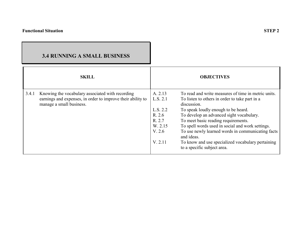|       | <b>3.4 RUNNING A SMALL BUSINESS</b>                                                     |          |                                                                                  |
|-------|-----------------------------------------------------------------------------------------|----------|----------------------------------------------------------------------------------|
|       | <b>SKILL</b>                                                                            |          | <b>OBJECTIVES</b>                                                                |
| 3.4.1 | Knowing the vocabulary associated with recording                                        | A. 2.13  | To read and write measures of time in metric units.                              |
|       | earnings and expenses, in order to improve their ability to<br>manage a small business. | L.S. 2.1 | To listen to others in order to take part in a<br>discussion.                    |
|       |                                                                                         | L.S. 2.2 | To speak loudly enough to be heard.                                              |
|       |                                                                                         | R. 2.6   | To develop an advanced sight vocabulary.                                         |
|       |                                                                                         | R. 2.7   | To meet basic reading requirements.                                              |
|       |                                                                                         | W. 2.15  | To spell words used in social and work settings.                                 |
|       |                                                                                         | V. 2.6   | To use newly learned words in communicating facts<br>and ideas.                  |
|       |                                                                                         | V. 2.11  | To know and use specialized vocabulary pertaining<br>to a specific subject area. |

ъ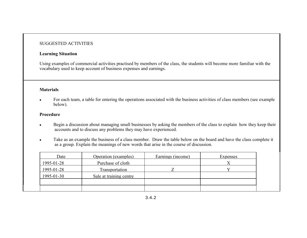#### **Learning Situation**

Using examples of commercial activities practised by members of the class, the students will become more familiar with the vocabulary used to keep account of business expenses and earnings.

#### **Materials**

• For each team, a table for entering the operations associated with the business activities of class members (see example below).

- • Begin a discussion about managing small businesses by asking the members of the class to explain how they keep their accounts and to discuss any problems they may have experienced.
- • Take as an example the business of a class member. Draw the table below on the board and have the class complete it as a group. Explain the meanings of new words that arise in the course of discussion.

| Date       | Operation (examples)    | Earnings (income) | Expenses |
|------------|-------------------------|-------------------|----------|
| 1995-01-28 | Purchase of cloth       |                   |          |
| 1995-01-28 | Transportation          |                   |          |
| 1995-01-30 | Sale at training centre |                   |          |
|            |                         |                   |          |
|            |                         |                   |          |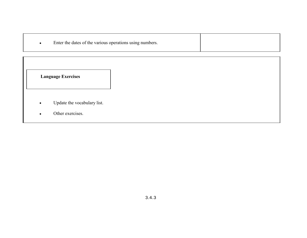| Enter the dates of the various operations using numbers. |  |
|----------------------------------------------------------|--|
|----------------------------------------------------------|--|

- •Update the vocabulary list.
- •Other exercises.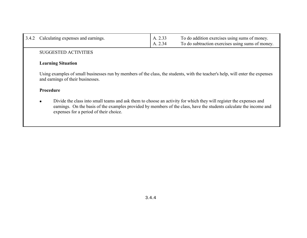| 3.4.2     | Calculating expenses and earnings.                                                                                                                                                                                                                                                               | A. 2.33<br>A. 2.34 | To do addition exercises using sums of money.<br>To do subtraction exercises using sums of money. |  |
|-----------|--------------------------------------------------------------------------------------------------------------------------------------------------------------------------------------------------------------------------------------------------------------------------------------------------|--------------------|---------------------------------------------------------------------------------------------------|--|
|           | <b>SUGGESTED ACTIVITIES</b>                                                                                                                                                                                                                                                                      |                    |                                                                                                   |  |
|           | <b>Learning Situation</b>                                                                                                                                                                                                                                                                        |                    |                                                                                                   |  |
|           | Using examples of small businesses run by members of the class, the students, with the teacher's help, will enter the expenses<br>and earnings of their businesses.                                                                                                                              |                    |                                                                                                   |  |
| Procedure |                                                                                                                                                                                                                                                                                                  |                    |                                                                                                   |  |
|           | Divide the class into small teams and ask them to choose an activity for which they will register the expenses and<br>$\bullet$<br>earnings. On the basis of the examples provided by members of the class, have the students calculate the income and<br>expenses for a period of their choice. |                    |                                                                                                   |  |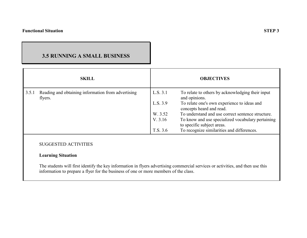## **3.5 RUNNING A SMALL BUSINESS**

|       | <b>SKILL</b>                                                  |          | <b>OBJECTIVES</b>                                                               |
|-------|---------------------------------------------------------------|----------|---------------------------------------------------------------------------------|
| 3.5.1 | Reading and obtaining information from advertising<br>flyers. | L.S. 3.1 | To relate to others by acknowledging their input<br>and opinions.               |
|       |                                                               | L.S. 3.9 | To relate one's own experience to ideas and<br>concepts heard and read.         |
|       |                                                               | W. 3.52  | To understand and use correct sentence structure.                               |
|       |                                                               | V. 3.16  | To know and use specialized vocabulary pertaining<br>to specific subject areas. |
|       |                                                               | T.S. 3.6 | To recognize similarities and differences.                                      |
|       | <b>SUGGESTED ACTIVITIES</b>                                   |          |                                                                                 |

## **Learning Situation**

The students will first identify the key information in flyers advertising commercial services or activities, and then use this information to prepare a flyer for the business of one or more members of the class.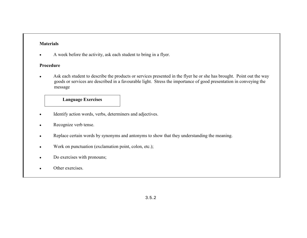## **Materials**

•A week before the activity, ask each student to bring in a flyer.

### **Procedure**

• Ask each student to describe the products or services presented in the flyer he or she has brought. Point out the way goods or services are described in a favourable light. Stress the importance of good presentation in conveying the message

#### Update the vocabulary list. **Language Exercises**

- •Identify action words, verbs, determiners and adjectives.
- •Recognize verb tense.
- •Replace certain words by synonyms and antonyms to show that they understanding the meaning.
- •Work on punctuation (exclamation point, colon, etc.);
- •Do exercises with pronouns;
- •Other exercises.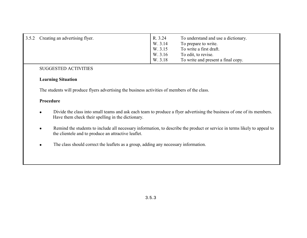| 3.5.2 Creating an advertising flyer. | R. 3.24<br>W. 3.14<br>W. 3.15<br>W. 3.16<br>W. 3.18 | To understand and use a dictionary.<br>To prepare to write.<br>To write a first draft.<br>To edit, to revise.<br>To write and present a final copy. |
|--------------------------------------|-----------------------------------------------------|-----------------------------------------------------------------------------------------------------------------------------------------------------|
|                                      |                                                     |                                                                                                                                                     |

#### **Learning Situation**

The students will produce flyers advertising the business activities of members of the class.

- • Divide the class into small teams and ask each team to produce a flyer advertising the business of one of its members. Have them check their spelling in the dictionary.
- • Remind the students to include all necessary information, to describe the product or service in terms likely to appeal to the clientele and to produce an attractive leaflet.
- •The class should correct the leaflets as a group, adding any necessary information.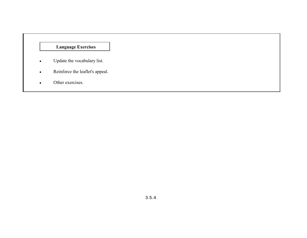- •Update the vocabulary list.
- •Reinforce the leaflet's appeal.
- •Other exercises.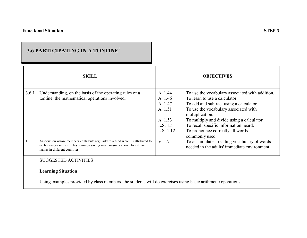|       | 3.6 PARTICIPATING IN A TONTINE <sup>1</sup>                                                                                                                                                 |                                                                              |                                                                                                                                                                                                                                                                                                                    |
|-------|---------------------------------------------------------------------------------------------------------------------------------------------------------------------------------------------|------------------------------------------------------------------------------|--------------------------------------------------------------------------------------------------------------------------------------------------------------------------------------------------------------------------------------------------------------------------------------------------------------------|
|       | <b>SKILL</b>                                                                                                                                                                                |                                                                              | <b>OBJECTIVES</b>                                                                                                                                                                                                                                                                                                  |
| 3.6.1 | Understanding, on the basis of the operating rules of a<br>tontine, the mathematical operations involved.                                                                                   | A. 1.44<br>A. 1.46<br>A. 1.47<br>A. 1.51<br>A. 1.53<br>L.S. 1.5<br>L.S. 1.12 | To use the vocabulary associated with addition.<br>To learn to use a calculator.<br>To add and subtract using a calculator.<br>To use the vocabulary associated with<br>multiplication.<br>To multiply and divide using a calculator.<br>To recall specific information heard.<br>To pronounce correctly all words |
| -1.   | Association whose members contribute regularly to a fund which is attributed to<br>each member in turn. This common saving mechanism is known by different<br>names in different countries. | V. 1.7                                                                       | commonly used.<br>To accumulate a reading vocabulary of words<br>needed in the adults' immediate environment.                                                                                                                                                                                                      |
|       | <b>SUGGESTED ACTIVITIES</b>                                                                                                                                                                 |                                                                              |                                                                                                                                                                                                                                                                                                                    |
|       | <b>Learning Situation</b>                                                                                                                                                                   |                                                                              |                                                                                                                                                                                                                                                                                                                    |
|       | Using examples provided by class members, the students will do exercises using basic arithmetic operations                                                                                  |                                                                              |                                                                                                                                                                                                                                                                                                                    |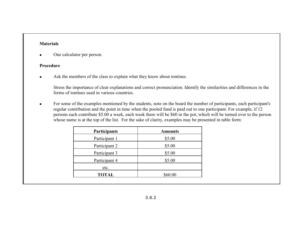## **Materials**

•One calculator per person.

### **Procedure**

•Ask the members of the class to explain what they know about tontines.

Stress the importance of clear explanations and correct pronunciation. Identify the similarities and differences in the forms of tontines used in various countries.

• For some of the examples mentioned by the students, note on the board the number of participants, each participant's regular contribution and the point in time when the pooled fund is paid out to one participant. For example, if 12 persons each contribute \$5.00 a week, each week there will be \$60 in the pot, which will be turned over to the person whose name is at the top of the list. For the sake of clarity, examples may be presented in table form:

| Participants  | <b>Amounts</b> |
|---------------|----------------|
| Participant 1 | \$5.00         |
| Participant 2 | \$5.00         |
| Participant 3 | \$5.00         |
| Participant 4 | \$5.00         |
| etc.          |                |
| <b>TOTAL</b>  | \$60.00        |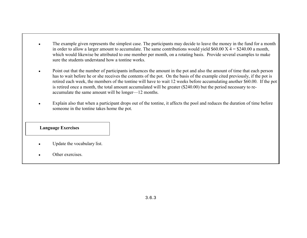- • The example given represents the simplest case. The participants may decide to leave the money in the fund for a month in order to allow a larger amount to accumulate. The same contributions would yield  $$60.00$  X 4 = \$240.00 a month, which would likewise be attributed to one member per month, on a rotating basis. Provide several examples to make sure the students understand how a tontine works.
- $\bullet$  Point out that the number of participants influences the amount in the pot and also the amount of time that each person has to wait before he or she receives the contents of the pot. On the basis of the example cited previously, if the pot is retired each week, the members of the tontine will have to wait 12 weeks before accumulating another \$60.00. If the pot is retired once a month, the total amount accumulated will be greater (\$240.00) but the period necessary to reaccumulate the same amount will be longer—12 months.
- • Explain also that when a participant drops out of the tontine, it affects the pool and reduces the duration of time before someone in the tontine takes home the pot.

- •Update the vocabulary list.
- •Other exercises.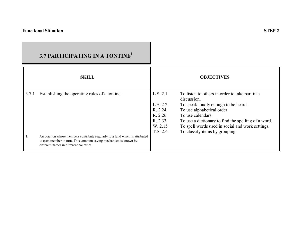## **SKILL OBJECTIVES**3.7.1 Establishing the operating rules of a tontine. 1. Association whose members contribute regularly to a fund which is attributed to each member in turn. This common saving mechanism is known by different names in different countries.L.S. 2.1 To listen to others in order to take part in a discussion. L.S. 2.2 To speak loudly enough to be heard.<br>R. 2.24 To use alphabetical order. R. 2.24 To use alphabetical order.<br>R. 2.26 To use calendars. To use calendars. R. 2.33 To use a dictionary to find the spelling of a word.<br>W. 2.15 To spell words used in social and work settings. To spell words used in social and work settings. T.S. 2.4 To classify items by grouping. **3.7 PARTICIPATING IN A TONTINE**<sup>1</sup>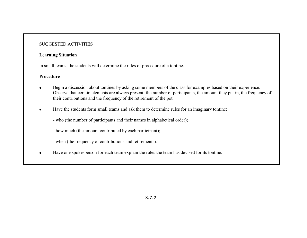#### **Learning Situation**

In small teams, the students will determine the rules of procedure of a tontine.

- • Begin a discussion about tontines by asking some members of the class for examples based on their experience. Observe that certain elements are always present: the number of participants, the amount they put in, the frequency of their contributions and the frequency of the retirement of the pot.
- • Have the students form small teams and ask them to determine rules for an imaginary tontine:
	- who (the number of participants and their names in alphabetical order);
	- how much (the amount contributed by each participant);
	- when (the frequency of contributions and retirements).
- •Have one spokesperson for each team explain the rules the team has devised for its tontine.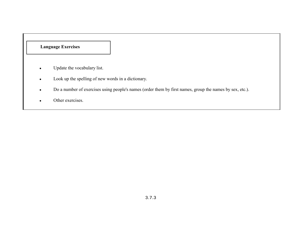- $\bullet$ Update the vocabulary list.
- •Look up the spelling of new words in a dictionary.
- •Do a number of exercises using people's names (order them by first names, group the names by sex, etc.).
- •Other exercises.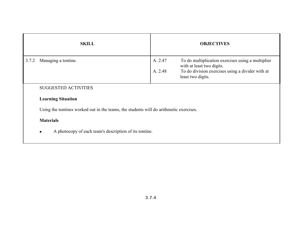|       | <b>SKILL</b>                                                                           |                    | <b>OBJECTIVES</b>                                                                                                                                       |
|-------|----------------------------------------------------------------------------------------|--------------------|---------------------------------------------------------------------------------------------------------------------------------------------------------|
| 3.7.2 | Managing a tontine.                                                                    | A. 2.47<br>A. 2.48 | To do multiplication exercises using a multiplier<br>with at least two digits.<br>To do division exercises using a divider with at<br>least two digits. |
|       | <b>SUGGESTED ACTIVITIES</b>                                                            |                    |                                                                                                                                                         |
|       | <b>Learning Situation</b>                                                              |                    |                                                                                                                                                         |
|       | Using the tontines worked out in the teams, the students will do arithmetic exercises. |                    |                                                                                                                                                         |
|       | <b>Materials</b>                                                                       |                    |                                                                                                                                                         |
|       | A photocopy of each team's description of its tontine.                                 |                    |                                                                                                                                                         |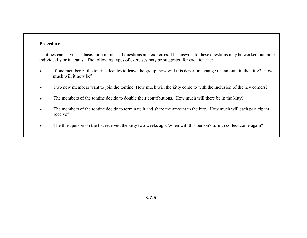#### **Procedure**

Tontines can serve as a basis for a number of questions and exercises. The answers to these questions may be worked out either individually or in teams. The following types of exercises may be suggested for each tontine:

- • If one member of the tontine decides to leave the group, how will this departure change the amount in the kitty? How much will it now be?
- •Two new members want to join the tontine. How much will the kitty come to with the inclusion of the newcomers?
- $\bullet$ The members of the tontine decide to double their contributions. How much will there be in the kitty?
- • The members of the tontine decide to terminate it and share the amount in the kitty. How much will each participant receive?
- •The third person on the list received the kitty two weeks ago. When will this person's turn to collect come again?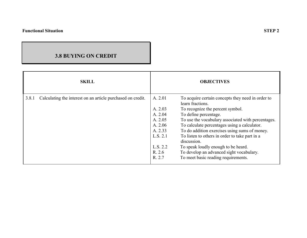## **3.8 BUYING ON CREDIT**

|       | <b>SKILL</b>                                                |          | <b>OBJECTIVES</b>                                                     |
|-------|-------------------------------------------------------------|----------|-----------------------------------------------------------------------|
| 3.8.1 | Calculating the interest on an article purchased on credit. | A. 2.01  | To acquire certain concepts they need in order to<br>learn fractions. |
|       |                                                             | A. 2.03  | To recognize the percent symbol.                                      |
|       |                                                             | A. 2.04  | To define percentage.                                                 |
|       |                                                             | A. 2.05  | To use the vocabulary associated with percentages.                    |
|       |                                                             | A. 2.06  | To calculate percentages using a calculator.                          |
|       |                                                             | A. 2.33  | To do addition exercises using sums of money.                         |
|       |                                                             | L.S. 2.1 | To listen to others in order to take part in a<br>discussion.         |
|       |                                                             | L.S. 2.2 | To speak loudly enough to be heard.                                   |
|       |                                                             | R. 2.6   | To develop an advanced sight vocabulary.                              |
|       |                                                             | R. 2.7   | To meet basic reading requirements.                                   |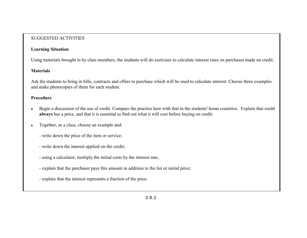## **Learning Situation**

Using materials brought in by class members, the students will do exercises to calculate interest rates on purchases made on credit.

## **Materials**

Ask the students to bring in bills, contracts and offers to purchase which will be used to calculate interest. Choose three examples and make photocopies of them for each student.

- • Begin a discussion of the use of credit. Compare the practice here with that in the students' home countries. Explain that credit **always** has a price, and that it is essential to find out what it will cost before buying on credit.
- • Together, as a class, choose an example and:
	- write down the price of the item or service;
	- write down the interest applied on the credit;
	- using a calculator, multiply the initial costs by the interest rate;
	- explain that the purchaser pays this amount in addition to the list or initial price;
	- explain that the interest represents a fraction of the price.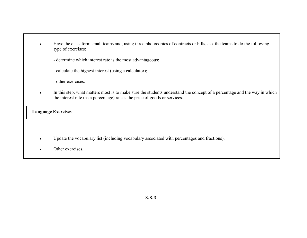- • Have the class form small teams and, using three photocopies of contracts or bills, ask the teams to do the following type of exercises:
	- determine which interest rate is the most advantageous;
	- calculate the highest interest (using a calculator);
	- other exercises.
- • In this step, what matters most is to make sure the students understand the concept of a percentage and the way in which the interest rate (as a percentage) raises the price of goods or services.

- •Update the vocabulary list (including vocabulary associated with percentages and fractions).
- •Other exercises.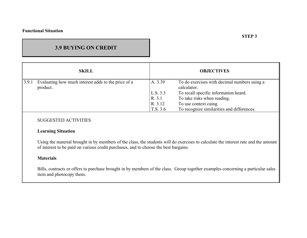#### **Functional Situation**

## **3.9 BUYING ON CREDIT**

|       | <b>SKILL</b>                                        |          | <b>OBJECTIVES</b>                            |
|-------|-----------------------------------------------------|----------|----------------------------------------------|
| 3.9.1 | Evaluating how much interest adds to the price of a | A. 3.39  | To do exercises with decimal numbers using a |
|       | product.                                            |          | calculator.                                  |
|       |                                                     | L.S. 3.3 | To recall specific information heard.        |
|       |                                                     | R. 3.1   | To take risks when reading.                  |
|       |                                                     | R. 3.12  | To use context cuing.                        |
|       |                                                     | T.S. 3.6 | To recognize similarities and differences.   |

#### SUGGESTED ACTIVITIES

#### **Learning Situation**

Using the material brought in by members of the class, the students will do exercises to calculate the interest rate and the amount of interest to be paid on various credit purchases, and to choose the best bargains.

#### **Materials**

Bills, contracts or offers to purchase brought in by members of the class. Group together examples concerning a particular sales item and photocopy them.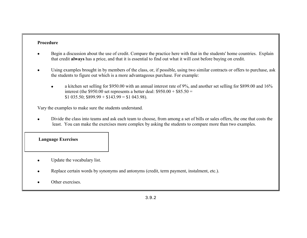#### **Procedure**

- • Begin a discussion about the use of credit. Compare the practice here with that in the students' home countries. Explain that credit **always** has a price, and that it is essential to find out what it will cost before buying on credit.
- • Using examples brought in by members of the class, or, if possible, using two similar contracts or offers to purchase, ask the students to figure out which is a more advantageous purchase. For example:
	- • a kitchen set selling for \$950.00 with an annual interest rate of 9%, and another set selling for \$899.00 and 16% interest (the  $$950.00$  set represents a better deal:  $$950.00 + $85.50 =$ \$1 035.50; \$899.99 + \$143.99 = \$1 043.98).

Vary the examples to make sure the students understand.

• Divide the class into teams and ask each team to choose, from among a set of bills or sales offers, the one that costs the least. You can make the exercises more complex by asking the students to compare more than two examples.

- •Update the vocabulary list.
- •Replace certain words by synonyms and antonyms (credit, term payment, instalment, etc.).
- •Other exercises.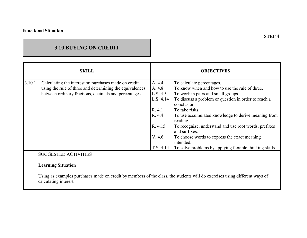## **3.10 BUYING ON CREDIT**

|        | <b>SKILL</b>                                             |           | <b>OBJECTIVES</b>                                                      |
|--------|----------------------------------------------------------|-----------|------------------------------------------------------------------------|
| 3.10.1 | Calculating the interest on purchases made on credit     | A. 4.4    | To calculate percentages.                                              |
|        | using the rule of three and determining the equivalences | A. 4.8    | To know when and how to use the rule of three.                         |
|        | between ordinary fractions, decimals and percentages.    | L.S. 4.5  | To work in pairs and small groups.                                     |
|        |                                                          | L.S. 4.14 | To discuss a problem or question in order to reach a<br>conclusion.    |
|        |                                                          | R. 4.1    | To take risks.                                                         |
|        |                                                          | R. 4.4    | To use accumulated knowledge to derive meaning from<br>reading.        |
|        |                                                          | R. 4.15   | To recognize, understand and use root words, prefixes<br>and suffixes. |
|        |                                                          | V.4.6     | To choose words to express the exact meaning<br>intended.              |
|        |                                                          | T.S. 4.14 | To solve problems by applying flexible thinking skills.                |
|        | <b>SUGGESTED ACTIVITIES</b>                              |           |                                                                        |

## **Learning Situation**

Using as examples purchases made on credit by members of the class, the students will do exercises using different ways of calculating interest.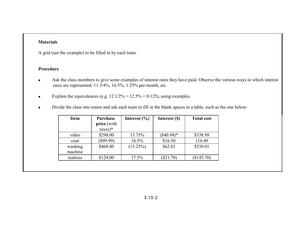#### **Materials**

A grid (see the example) to be filled in by each team.

- • Ask the class members to give some examples of interest rates they have paid. Observe the various ways in which interest rates are represented: 11 3/4%, 16.5%, 1.25% per month, etc.
- $\bullet$ Explain the equivalences (e.g. 12  $1/2\% = 12.5\% = 0.125$ ), using examples.
- $\bullet$ Divide the class into teams and ask each team to fill in the blank spaces in a table, such as the one below:

| <b>Item</b>        | Purchase<br>price (with<br>$\text{taxes})^*$ | Interest $(\% )$ | Interest (\$) | <b>Total cost</b> |
|--------------------|----------------------------------------------|------------------|---------------|-------------------|
| video              | \$298.00                                     | 13.75%           | $(\$40.98)*$  | \$338.98          |
| coat               | \$99.99                                      | 16.5%            | \$16.50       | 116.49            |
| washing<br>machine | \$468.00                                     | $(13.25\%)$      | \$62.01       | \$530.01          |
| matress            | \$124.00                                     | 17.5%            | $(\$21.70)$   | (\$145.70)        |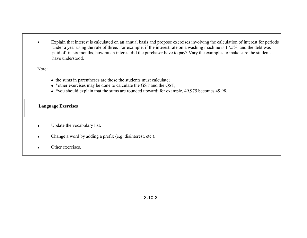• Explain that interest is calculated on an annual basis and propose exercises involving the calculation of interest for periods under a year using the rule of three. For example, if the interest rate on a washing machine is 17.5%, and the debt was paid off in six months, how much interest did the purchaser have to pay? Vary the examples to make sure the students have understood.

Note:

- the sums in parentheses are those the students must calculate;
- \*other exercises may be done to calculate the GST and the QST;
- \*you should explain that the sums are rounded upward: for example, 49.975 becomes 49.98.

- •Update the vocabulary list.
- •Change a word by adding a prefix (e.g. disinterest, etc.).
- •Other exercises.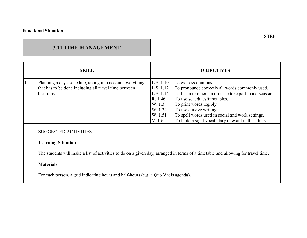## **3.11 TIME MANAGEMENT**

|             | <b>SKILL</b>                                              |           | <b>OBJECTIVES</b>                                          |
|-------------|-----------------------------------------------------------|-----------|------------------------------------------------------------|
| $\vert 1.1$ | Planning a day's schedule, taking into account everything | L.S. 1.10 | To express opinions.                                       |
|             | that has to be done including all travel time between     | L.S. 1.12 | To pronounce correctly all words commonly used.            |
|             | locations.                                                | L.S. 1.14 | To listen to others in order to take part in a discussion. |
|             |                                                           | R. 1.46   | To use schedules/timetables.                               |
|             |                                                           | W. 1.3    | To print words legibly.                                    |
|             |                                                           | W. 1.34   | To use cursive writing.                                    |
|             |                                                           | W. 1.51   | To spell words used in social and work settings.           |
|             |                                                           | V. 1.6    | To build a sight vocabulary relevant to the adults.        |

## SUGGESTED ACTIVITIES

## **Learning Situation**

The students will make a list of activities to do on a given day, arranged in terms of a timetable and allowing for travel time.

#### **Materials**

For each person, a grid indicating hours and half-hours (e.g. a Quo Vadis agenda).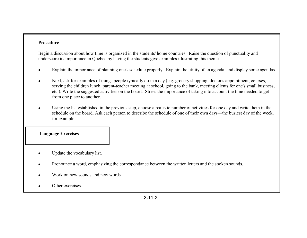#### **Procedure**

Begin a discussion about how time is organized in the students' home countries. Raise the question of punctuality and underscore its importance in Québec by having the students give examples illustrating this theme.

- •Explain the importance of planning one's schedule properly. Explain the utility of an agenda, and display some agendas.
- $\bullet$  Next, ask for examples of things people typically do in a day (e.g. grocery shopping, doctor's appointment, courses, serving the children lunch, parent-teacher meeting at school, going to the bank, meeting clients for one's small business, etc.). Write the suggested activities on the board. Stress the importance of taking into account the time needed to get from one place to another.
- • Using the list established in the previous step, choose a realistic number of activities for one day and write them in the schedule on the board. Ask each person to describe the schedule of one of their own days—the busiest day of the week, for example.

- •Update the vocabulary list.
- •Pronounce a word, emphasizing the correspondance between the written letters and the spoken sounds.
- •Work on new sounds and new words.
- •Other exercises.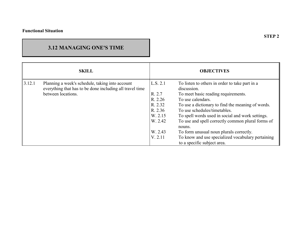## **3.12 MANAGING ONE'S TIME**

| <b>SKILL</b> |                                                                                                                                   | <b>OBJECTIVES</b>                                                                               |                                                                                                                                                                                                                                                                                                                                                                                                                                                                  |
|--------------|-----------------------------------------------------------------------------------------------------------------------------------|-------------------------------------------------------------------------------------------------|------------------------------------------------------------------------------------------------------------------------------------------------------------------------------------------------------------------------------------------------------------------------------------------------------------------------------------------------------------------------------------------------------------------------------------------------------------------|
| 3.12.1       | Planning a week's schedule, taking into account<br>everything that has to be done including all travel time<br>between locations. | L.S. 2.1<br>R. 2.7<br>R. 2.26<br>R. 2.32<br>R. 2.36<br>W. 2.15<br>W. 2.42<br>W. 2.43<br>V. 2.11 | To listen to others in order to take part in a<br>discussion.<br>To meet basic reading requirements.<br>To use calendars.<br>To use a dictionary to find the meaning of words.<br>To use schedules/timetables.<br>To spell words used in social and work settings.<br>To use and spell correctly common plural forms of<br>nouns.<br>To form unusual noun plurals correctly.<br>To know and use specialized vocabulary pertaining<br>to a specific subject area. |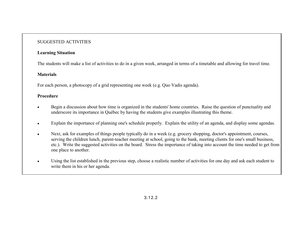### **Learning Situation**

The students will make a list of activities to do in a given week, arranged in terms of a timetable and allowing for travel time.

## **Materials**

For each person, a photocopy of a grid representing one week (e.g. Quo Vadis agenda).

- • Begin a discussion about how time is organized in the students' home countries. Raise the question of punctuality and underscore its importance in QuÈbec by having the students give examples illustrating this theme.
- •Explain the importance of planning one's schedule properly. Explain the utility of an agenda, and display some agendas.
- • Next, ask for examples of things people typically do in a week (e.g. grocery shopping, doctor's appointment, courses, serving the children lunch, parent-teacher meeting at school, going to the bank, meeting clients for one's small business, etc.). Write the suggested activities on the board. Stress the importance of taking into account the time needed to get from one place to another.
- • Using the list established in the previous step, choose a realistic number of activities for one day and ask each student to write them in his or her agenda.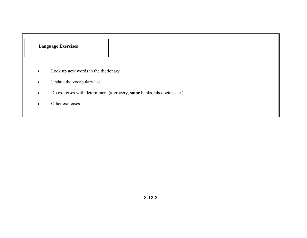- •Look up new words in the dictionary.
- •Update the vocabulary list.
- $\bullet$ Do exercises with determiners (**<sup>a</sup>**grocery, **some** banks, **his** doctor, etc.).
- •Other exercises.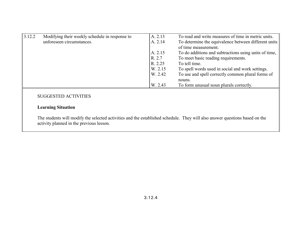| 3.12.2 | Modifying their weekly schedule in response to | A. 2.13 | To read and write measures of time in metric units.   |
|--------|------------------------------------------------|---------|-------------------------------------------------------|
|        | unforeseen circumstances.                      | A. 2.14 | To determine the equivalence between different units  |
|        |                                                |         | of time measurement.                                  |
|        |                                                | A. 2.15 | To do additions and subtractions using units of time, |
|        |                                                | R. 2.7  | To meet basic reading requirements.                   |
|        |                                                | R. 2.25 | To tell time.                                         |
|        |                                                | W. 2.15 | To spell words used in social and work settings.      |
|        |                                                | W. 2.42 | To use and spell correctly common plural forms of     |
|        |                                                |         | nouns.                                                |
|        |                                                | W. 2.43 | To form unusual noun plurals correctly.               |

## **Learning Situation**

The students will modify the selected activities and the established schedule. They will also answer questions based on the activity planned in the previous lesson.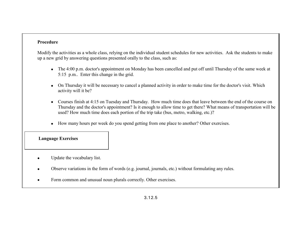#### **Procedure**

Modify the activities as a whole class, relying on the individual student schedules for new activities. Ask the students to make up a new grid by answering questions presented orally to the class, such as:

- The 4:00 p.m. doctor's appointment on Monday has been cancelled and put off until Thursday of the same week at 5:15 p.m.. Enter this change in the grid.
- • On Thursday it will be necessary to cancel a planned activity in order to make time for the doctor's visit. Which activity will it be?
- • Courses finish at 4:15 on Tuesday and Thursday. How much time does that leave between the end of the course on Thursday and the doctor's appointment? Is it enough to allow time to get there? What means of transportation will be used? How much time does each portion of the trip take (bus, metro, walking, etc.)?
- •How many hours per week do you spend getting from one place to another? Other exercises.

- •Update the vocabulary list.
- •Observe variations in the form of words (e.g. journal, journals, etc.) without formulating any rules.
- •Form common and unusual noun plurals correctly. Other exercises.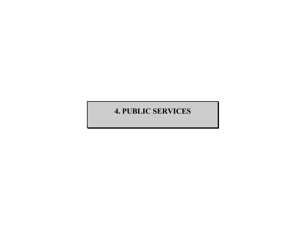# **4. PUBLIC SERVICES**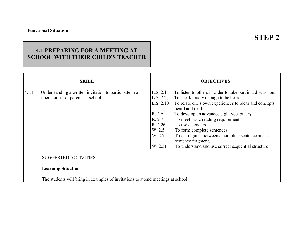## **4.1 PREPARING FOR A MEETING AT SCHOOL WITH THEIR CHILD'S TEACHER**

|       | <b>SKILL</b>                                             |           | <b>OBJECTIVES</b>                                                      |
|-------|----------------------------------------------------------|-----------|------------------------------------------------------------------------|
| 4.1.1 | Understanding a written invitation to participate in an  | L.S. 2.1  | To listen to others in order to take part in a discussion.             |
|       | open house for parents at school.                        | L.S. 2.2  | To speak loudly enough to be heard.                                    |
|       |                                                          | L.S. 2.10 | To relate one's own experiences to ideas and concepts                  |
|       |                                                          |           | heard and read.                                                        |
|       |                                                          | R. 2.6    | To develop an advanced sight vocabulary.                               |
|       |                                                          | R. 2.7    | To meet basic reading requirements.                                    |
|       |                                                          | R. 2.26   | To use calendars.                                                      |
|       |                                                          | W. 2.5    | To form complete sentences.                                            |
|       |                                                          | W. 2.7    | To distinguish between a complete sentence and a<br>sentence fragment. |
|       |                                                          | W. 2.51   | To understand and use correct sequential structure.                    |
|       | <b>SUGGESTED ACTIVITIES</b><br><b>Learning Situation</b> |           |                                                                        |

The students will bring in examples of invitations to attend meetings at school.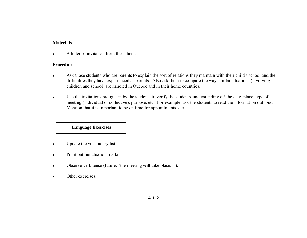### **Materials**

•A letter of invitation from the school.

#### **Procedure**

- $\bullet$  Ask those students who are parents to explain the sort of relations they maintain with their child's school and the difficulties they have experienced as parents. Also ask them to compare the way similar situations (involving children and school) are handled in Québec and in their home countries.
- • Use the invitations brought in by the students to verify the students' understanding of: the date, place, type of meeting (individual or collective), purpose, etc. For example, ask the students to read the information out loud. Mention that it is important to be on time for appointments, etc.

- •Update the vocabulary list.
- $\bullet$ Point out punctuation marks.
- •Observe verb tense (future: "the meeting **will** take place...").
- •Other exercises.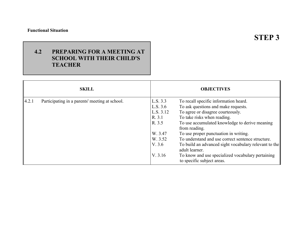### **Functional Situation**

**STEP 3**

## **4.2 PREPARING FOR A MEETING AT SCHOOL WITH THEIR CHILD'S TEACHER**

|       | <b>SKILL</b>                                   |                                                                                                  | <b>OBJECTIVES</b>                                                                                                                                                                                                                                                                                                                                                                                                                                                               |
|-------|------------------------------------------------|--------------------------------------------------------------------------------------------------|---------------------------------------------------------------------------------------------------------------------------------------------------------------------------------------------------------------------------------------------------------------------------------------------------------------------------------------------------------------------------------------------------------------------------------------------------------------------------------|
| 4.2.1 | Participating in a parents' meeting at school. | L.S. 3.3<br>L.S. 3.6<br>L.S. 3.12<br>R. 3.1<br>R. 3.5<br>W. 3.47<br>W. 3.52<br>V. 3.6<br>V. 3.16 | To recall specific information heard.<br>To ask questions and make requests.<br>To agree or disagree courteously.<br>To take risks when reading.<br>To use accumulated knowledge to derive meaning<br>from reading.<br>To use proper punctuation in writing.<br>To understand and use correct sentence structure.<br>To build an advanced sight vocabulary relevant to the<br>adult learner.<br>To know and use specialized vocabulary pertaining<br>to specific subject areas. |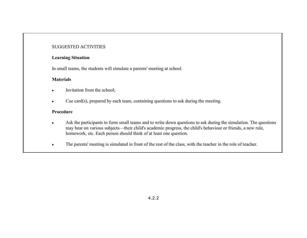#### **Learning Situation**

In small teams, the students will simulate a parents' meeting at school.

#### **Materials**

- •Invitation from the school;
- •Cue card(s), prepared by each team, containing questions to ask during the meeting.

- • Ask the participants to form small teams and to write down questions to ask during the simulation. The questions may bear on various subjects—their child's academic progress, the child's behaviour or friends, a new rule, homework, etc. Each person should think of at least one question.
- $\bullet$ The parents' meeting is simulated in front of the rest of the class, with the teacher in the role of teacher.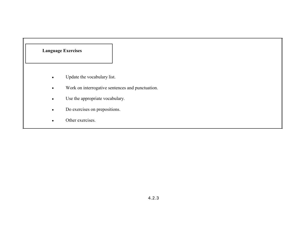- $\bullet$ Update the vocabulary list.
- $\bullet$ Work on interrogative sentences and punctuation.
- $\bullet$ Use the appropriate vocabulary.
- $\bullet$ Do exercises on prepositions.
- •Other exercises.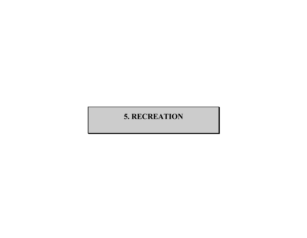# **5. RECREATION**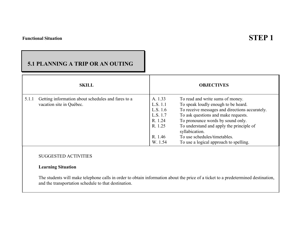# **STEP 1**

## **5.1 PLANNING A TRIP OR AN OUTING**

| <b>SKILL</b>                                                                            |                                                                                         | <b>OBJECTIVES</b>                                                                                                                                                                                                                                                                                                                             |
|-----------------------------------------------------------------------------------------|-----------------------------------------------------------------------------------------|-----------------------------------------------------------------------------------------------------------------------------------------------------------------------------------------------------------------------------------------------------------------------------------------------------------------------------------------------|
| 5.1.1<br>Getting information about schedules and fares to a<br>vacation site in Québec. | A. 1.33<br>L.S. 1.1<br>L.S. 1.6<br>L.S. 1.7<br>R. 1.24<br>R. 1.25<br>R. 1.46<br>W. 1.54 | To read and write sums of money.<br>To speak loudly enough to be heard.<br>To receive messages and directions accurately.<br>To ask questions and make requests.<br>To pronounce words by sound only.<br>To understand and apply the principle of<br>syllabication.<br>To use schedules/timetables.<br>To use a logical approach to spelling. |

#### SUGGESTED ACTIVITIES

### **Learning Situation**

The students will make telephone calls in order to obtain information about the price of a ticket to a predetermined destination, and the transportation schedule to that destination.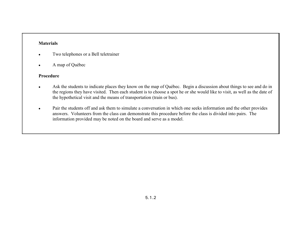#### **Materials**

- •Two telephones or a Bell teletrainer
- $\bullet$ A map of Québec

- •Ask the students to indicate places they know on the map of Québec. Begin a discussion about things to see and do in the regions they have visited. Then each student is to choose a spot he or she would like to visit, as well as the date of the hypothetical visit and the means of transportation (train or bus).
- • Pair the students off and ask them to simulate a conversation in which one seeks information and the other provides answers. Volunteers from the class can demonstrate this procedure before the class is divided into pairs. The information provided may be noted on the board and serve as a model.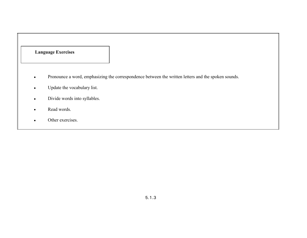- •Pronounce a word, emphasizing the correspondence between the written letters and the spoken sounds.
- $\bullet$ Update the vocabulary list.
- $\bullet$ Divide words into syllables.
- $\bullet$ Read words.
- $\bullet$ Other exercises.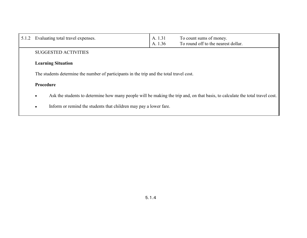| 5.1.2 | Evaluating total travel expenses.                                                        | A. 1.31<br>A. 1.36 | To count sums of money.<br>To round off to the nearest dollar.                                                                |  |  |
|-------|------------------------------------------------------------------------------------------|--------------------|-------------------------------------------------------------------------------------------------------------------------------|--|--|
|       | <b>SUGGESTED ACTIVITIES</b>                                                              |                    |                                                                                                                               |  |  |
|       | <b>Learning Situation</b>                                                                |                    |                                                                                                                               |  |  |
|       | The students determine the number of participants in the trip and the total travel cost. |                    |                                                                                                                               |  |  |
|       | Procedure                                                                                |                    |                                                                                                                               |  |  |
|       | $\bullet$                                                                                |                    | Ask the students to determine how many people will be making the trip and, on that basis, to calculate the total travel cost. |  |  |
|       | Inform or remind the students that children may pay a lower fare.<br>$\bullet$           |                    |                                                                                                                               |  |  |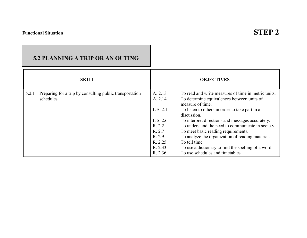## **5.2 PLANNING A TRIP OR AN OUTING**

|       | <b>SKILL</b>                                             |          | <b>OBJECTIVES</b>                                              |
|-------|----------------------------------------------------------|----------|----------------------------------------------------------------|
| 5.2.1 | Preparing for a trip by consulting public transportation | A. 2.13  | To read and write measures of time in metric units.            |
|       | schedules.                                               | A. 2.14  | To determine equivalences between units of<br>measure of time. |
|       |                                                          | L.S. 2.1 | To listen to others in order to take part in a<br>discussion.  |
|       |                                                          | L.S. 2.6 | To interpret directions and messages accurately.               |
|       |                                                          | R. 2.2   | To understand the need to communicate in society.              |
|       |                                                          | R. 2.7   | To meet basic reading requirements.                            |
|       |                                                          | R. 2.9   | To analyze the organization of reading material.               |
|       |                                                          | R. 2.25  | To tell time.                                                  |
|       |                                                          | R. 2.33  | To use a dictionary to find the spelling of a word.            |
|       |                                                          | R. 2.36  | To use schedules and timetables.                               |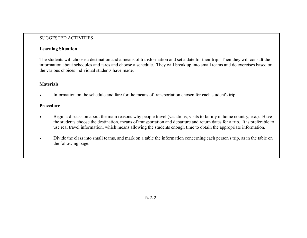### **Learning Situation**

The students will choose a destination and a means of transformation and set a date for their trip. Then they will consult the information about schedules and fares and choose a schedule. They will break up into small teams and do exercises based on the various choices individual students have made.

### **Materials**

•Information on the schedule and fare for the means of transportation chosen for each student's trip.

- • Begin a discussion about the main reasons why people travel (vacations, visits to family in home country, etc.). Have the students choose the destination, means of transportation and departure and return dates for a trip. It is preferable to use real travel information, which means allowing the students enough time to obtain the appropriate information.
- • Divide the class into small teams, and mark on a table the information concerning each person's trip, as in the table on the following page: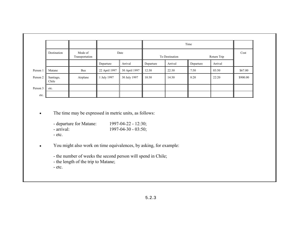|          |                    |                                   |               |                |           | Time    |           |             |          |      |
|----------|--------------------|-----------------------------------|---------------|----------------|-----------|---------|-----------|-------------|----------|------|
|          | Destination        | Mode of<br>Date<br>Transportation |               | To Destination |           |         |           | Return Trip |          | Cost |
|          |                    |                                   | Departure     | Arrival        | Departure | Arrival | Departure | Arrival     |          |      |
| Person 1 | Matane             | <b>Bus</b>                        | 22 April 1997 | 30 April 1997  | 12:30     | 22:30   | 7:50      | 03:50       | \$67.00  |      |
| Person 2 | Santiago,<br>Chile | Airplane                          | July 1997     | 30 July 1997   | 10:30     | 14:30   | 8:20      | 22:20       | \$900.00 |      |
| Person 3 | etc.               |                                   |               |                |           |         |           |             |          |      |
| etc.     |                    |                                   |               |                |           |         |           |             |          |      |

•The time may be expressed in metric units, as follows:

- departure for Matane: 1997-04-22 12:30;
- arrival: 1997-04-30 03:50;
- etc.

•You might also work on time equivalences, by asking, for example:

- the number of weeks the second person will spend in Chile;

- the length of the trip to Matane;

- etc.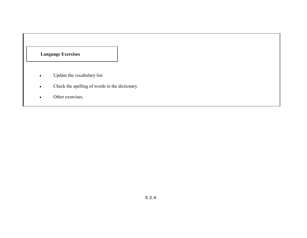- •Update the vocabulary list.
- •Check the spelling of words in the dictionary.
- •Other exercises.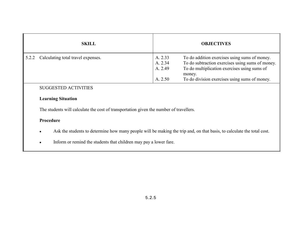|       | <b>SKILL</b>                       |                                          | <b>OBJECTIVES</b>                                                                                                                                                                                            |
|-------|------------------------------------|------------------------------------------|--------------------------------------------------------------------------------------------------------------------------------------------------------------------------------------------------------------|
| 5.2.2 | Calculating total travel expenses. | A. 2.33<br>A. 2.34<br>A. 2.49<br>A. 2.50 | To do addition exercises using sums of money.<br>To do subtraction exercises using sums of money.<br>To do multiplication exercises using sums of<br>money.<br>To do division exercises using sums of money. |

### **Learning Situation**

The students will calculate the cost of transportation given the number of travellers.

- •Ask the students to determine how many people will be making the trip and, on that basis, to calculate the total cost.
- •Inform or remind the students that children may pay a lower fare.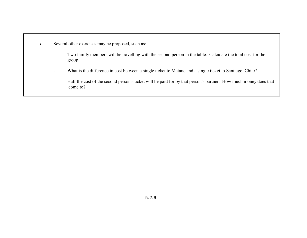- • Several other exercises may be proposed, such as:
	- - Two family members will be travelling with the second person in the table. Calculate the total cost for the group.
	- -What is the difference in cost between a single ticket to Matane and a single ticket to Santiago, Chile?
	- Half the cost of the second person's ticket will be paid for by that person's partner. How much money does that come to?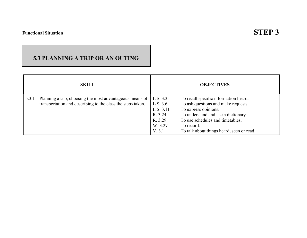## **STEP 3**

## **5.3 PLANNING A TRIP OR AN OUTING**

|       | <b>SKILL</b>                                                                                                            |                                                                              | <b>OBJECTIVES</b>                                                                                                                                                                                                                          |
|-------|-------------------------------------------------------------------------------------------------------------------------|------------------------------------------------------------------------------|--------------------------------------------------------------------------------------------------------------------------------------------------------------------------------------------------------------------------------------------|
| 5.3.1 | Planning a trip, choosing the most advantageous means of<br>transportation and describing to the class the steps taken. | L.S. 3.3<br>L.S. 3.6<br>L.S. 3.11<br>R. 3.24<br>R. 3.29<br>W. 3.27<br>V. 3.1 | To recall specific information heard.<br>To ask questions and make requests.<br>To express opinions.<br>To understand and use a dictionary.<br>To use schedules and timetables.<br>To record.<br>To talk about things heard, seen or read. |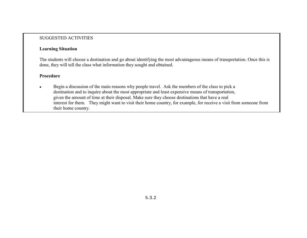#### **Learning Situation**

The students will choose a destination and go about identifying the most advantageous means of transportation. Once this is done, they will tell the class what information they sought and obtained.

#### **Procedure**

• Begin a discussion of the main reasons why people travel. Ask the members of the class to pick a destination and to inquire about the most appropriate and least expensive means of transportation, given the amount of time at their disposal. Make sure they choose destinations that have a real interest for them. They might want to visit their home country, for example, for receive a visit from someone from their home country.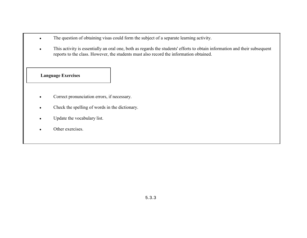- •The question of obtaining visas could form the subject of a separate learning activity.
- • This activity is essentially an oral one, both as regards the students' efforts to obtain information and their subsequent reports to the class. However, the students must also record the information obtained.

- •Correct pronunciation errors, if necessary.
- •Check the spelling of words in the dictionary.
- •Update the vocabulary list.
- •Other exercises.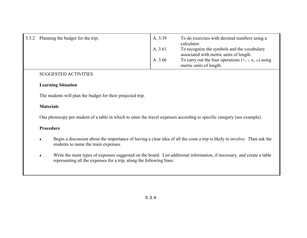| 5.3.2 | Planning the budget for the trip. | A. 3.39 | To do exercises with decimal numbers using a<br>calculator.                            |
|-------|-----------------------------------|---------|----------------------------------------------------------------------------------------|
|       |                                   | A. 3.61 | To recognize the symbols and the vocabulary<br>associated with metric units of length. |
|       |                                   | A. 3.66 | To carry out the four operations $(+, -, x, \div)$ using<br>metric units of length.    |

#### **Learning Situation**

The students will plan the budget for their projected trip.

#### **Materials**

One photocopy per student of a table in which to enter the travel expenses according to specific category (see example).

- • Begin a discussion about the importance of having a clear idea of all the costs a trip is likely to involve. Then ask the students to name the main expenses.
- • Write the main types of expenses suggested on the board. List additional information, if necessary, and create a table representing all the expenses for a trip, along the following lines: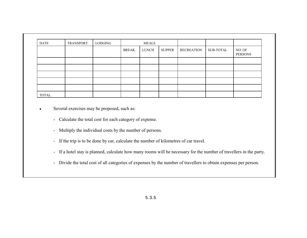| <b>DATE</b>  | TRANSPORT. | LODGING |        | <b>MEALS</b> |        |                   |           |                   |
|--------------|------------|---------|--------|--------------|--------|-------------------|-----------|-------------------|
|              |            |         | BREAK. | LUNCH        | SUPPER | <b>RECREATION</b> | SUB-TOTAL | NO. OF<br>PERSONS |
|              |            |         |        |              |        |                   |           |                   |
|              |            |         |        |              |        |                   |           |                   |
|              |            |         |        |              |        |                   |           |                   |
|              |            |         |        |              |        |                   |           |                   |
|              |            |         |        |              |        |                   |           |                   |
| <b>TOTAL</b> |            |         |        |              |        |                   |           |                   |

- • Several exercises may be proposed, such as:
	- Calculate the total cost for each category of expense.
	- Multiply the individual costs by the number of persons.
	- If the trip is to be done by car, calculate the number of kilometres of car travel.
	- If a hotel stay is planned, calculate how many rooms will be necessary for the number of travellers in the party.
	- Divide the total cost of all categories of expenses by the number of travellers to obtain expenses per person.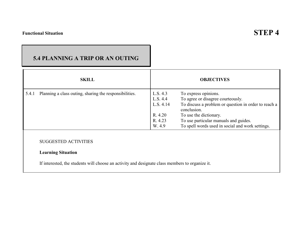## **STEP 4**

## **5.4 PLANNING A TRIP OR AN OUTING**

|       | <b>SKILL</b>                                                                                                                                                |                                                                   | <b>OBJECTIVES</b>                                                                                                                                                                                                                                       |
|-------|-------------------------------------------------------------------------------------------------------------------------------------------------------------|-------------------------------------------------------------------|---------------------------------------------------------------------------------------------------------------------------------------------------------------------------------------------------------------------------------------------------------|
| 5.4.1 | Planning a class outing, sharing the responsibilities.                                                                                                      | L.S. 4.3<br>L.S. 4.4<br>L.S. 4.14<br>R. 4.20<br>R. 4.23<br>W. 4.9 | To express opinions.<br>To agree or disagree courteously.<br>To discuss a problem or question in order to reach a<br>conclusion.<br>To use the dictionary.<br>To use particular manuals and guides.<br>To spell words used in social and work settings. |
|       | <b>SUGGESTED ACTIVITIES</b><br><b>Learning Situation</b><br>If interested, the students will choose an activity and designate class members to organize it. |                                                                   |                                                                                                                                                                                                                                                         |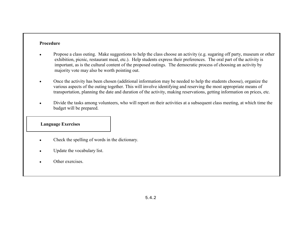#### **Procedure**

- • Propose a class outing. Make suggestions to help the class choose an activity (e.g. sugaring off party, museum or other exhibition, picnic, restaurant meal, etc.). Help students express their preferences. The oral part of the activity is important, as is the cultural content of the proposed outings. The democratic process of choosing an activity by majority vote may also be worth pointing out.
- • Once the activity has been chosen (additional information may be needed to help the students choose), organize the various aspects of the outing together. This will involve identifying and reserving the most appropriate means of transportation, planning the date and duration of the activity, making reservations, getting information on prices, etc.
- • Divide the tasks among volunteers, who will report on their activities at a subsequent class meeting, at which time the budget will be prepared.

- •Check the spelling of words in the dictionary.
- •Update the vocabulary list.
- •Other exercises.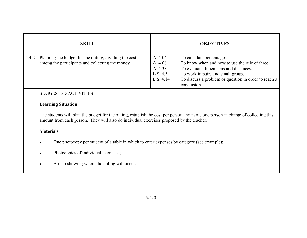|       | <b>SKILL</b>                                                                                               |                                                        | <b>OBJECTIVES</b>                                                                                                                                                                                                                 |
|-------|------------------------------------------------------------------------------------------------------------|--------------------------------------------------------|-----------------------------------------------------------------------------------------------------------------------------------------------------------------------------------------------------------------------------------|
| 5.4.2 | Planning the budget for the outing, dividing the costs<br>among the participants and collecting the money. | A. 4.04<br>A. 4.08<br>A. 4.33<br>L.S. 4.5<br>L.S. 4.14 | To calculate percentages.<br>To know when and how to use the rule of three.<br>To evaluate dimensions and distances.<br>To work in pairs and small groups.<br>To discuss a problem or question in order to reach a<br>conclusion. |

#### **Learning Situation**

The students will plan the budget for the outing, establish the cost per person and name one person in charge of collecting this amount from each person. They will also do individual exercises proposed by the teacher.

#### **Materials**

- •One photocopy per student of a table in which to enter expenses by category (see example);
- •Photocopies of individual exercises;
- •A map showing where the outing will occur.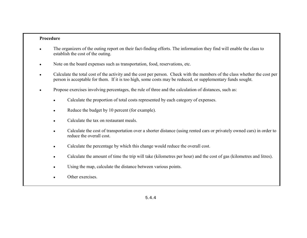- • The organizers of the outing report on their fact-finding efforts. The information they find will enable the class to establish the cost of the outing.
- •Note on the board expenses such as transportation, food, reservations, etc.
- • Calculate the total cost of the activity and the cost per person. Check with the members of the class whether the cost per person is acceptable for them. If it is too high, some costs may be reduced, or supplementary funds sought.
- • Propose exercises involving percentages, the rule of three and the calculation of distances, such as:
	- •Calculate the proportion of total costs represented by each category of expenses.
	- •Reduce the budget by 10 percent (for example).
	- •Calculate the tax on restaurant meals.
	- • Calculate the cost of transportation over a shorter distance (using rented cars or privately owned cars) in order to reduce the overall cost.
	- •Calculate the percentage by which this change would reduce the overall cost.
	- •Calculate the amount of time the trip will take (kilometres per hour) and the cost of gas (kilometres and litres).
	- •Using the map, calculate the distance between various points.
	- •Other exercises.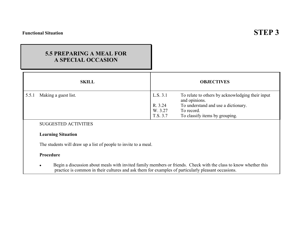## **5.5 PREPARING A MEAL FORA SPECIAL OCCASION**

|       | <b>SKILL</b>         |          | <b>OBJECTIVES</b>                                                 |
|-------|----------------------|----------|-------------------------------------------------------------------|
| 5.5.1 | Making a guest list. | L.S. 3.1 | To relate to others by acknowledging their input<br>and opinions. |
|       |                      | R. 3.24  | To understand and use a dictionary.                               |
|       |                      | W. 3.27  | To record.                                                        |
|       |                      | T.S. 3.7 | To classify items by grouping.                                    |

### SUGGESTED ACTIVITIES

#### **Learning Situation**

The students will draw up a list of people to invite to a meal.

#### **Procedure**

• Begin a discussion about meals with invited family members or friends. Check with the class to know whether this practice is common in their cultures and ask them for examples of particularly pleasant occasions.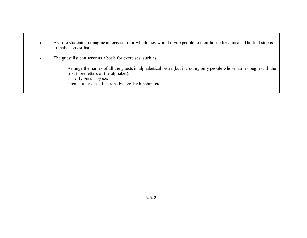- • Ask the students to imagine an occasion for which they would invite people to their house for a meal. The first step is to make a guest list.
- • The guest list can serve as a basis for exercises, such as:
	- - Arrange the names of all the guests in alphabetical order (but including only people whose names begin with the first three letters of the alphabet).
	- -Classify guests by sex.
	- -Create other classifications by age, by kinship, etc.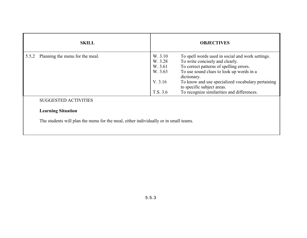| <b>SKILL</b>                                                                                                                                     |                                                                 | <b>OBJECTIVES</b>                                                                                                                                                                                                                                                                                                          |  |  |
|--------------------------------------------------------------------------------------------------------------------------------------------------|-----------------------------------------------------------------|----------------------------------------------------------------------------------------------------------------------------------------------------------------------------------------------------------------------------------------------------------------------------------------------------------------------------|--|--|
| Planning the menu for the meal.<br>5.5.2                                                                                                         | W. 3.10<br>W. 3.28<br>W. 3.61<br>W. 3.63<br>V. 3.16<br>T.S. 3.6 | To spell words used in social and work settings.<br>To write concisely and clearly.<br>To correct patterns of spelling errors.<br>To use sound clues to look up words in a<br>dictionary.<br>To know and use specialized vocabulary pertaining<br>to specific subject areas.<br>To recognize similarities and differences. |  |  |
| <b>SUGGESTED ACTIVITIES</b><br><b>Learning Situation</b><br>The students will plan the menu for the meal, either individually or in small teams. |                                                                 |                                                                                                                                                                                                                                                                                                                            |  |  |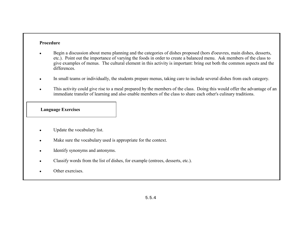#### **Procedure**

- • Begin a discussion about menu planning and the categories of dishes proposed (hors d'oeuvres, main dishes, desserts, etc.). Point out the importance of varying the foods in order to create a balanced menu. Ask members of the class to give examples of menus. The cultural element in this activity is important: bring out both the common aspects and the differences.
- •In small teams or individually, the students prepare menus, taking care to include several dishes from each category.
- • This activity could give rise to a meal prepared by the members of the class. Doing this would offer the advantage of an immediate transfer of learning and also enable members of the class to share each other's culinary traditions.

- •Update the vocabulary list.
- •Make sure the vocabulary used is appropriate for the context.
- •Identify synonyms and antonyms.
- •Classify words from the list of dishes, for example (entrees, desserts, etc.).
- •Other exercises.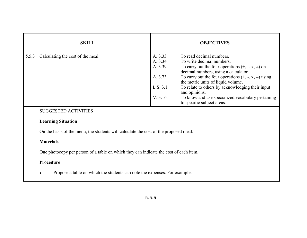| <b>SKILL</b>                               | <b>OBJECTIVES</b>                                                                                         |
|--------------------------------------------|-----------------------------------------------------------------------------------------------------------|
| Calculating the cost of the meal.<br>5.5.3 | A. 3.33<br>To read decimal numbers.<br>To write decimal numbers.<br>A. 3.34                               |
|                                            | A. 3.39<br>To carry out the four operations $(+, -, x, \div)$ on<br>decimal numbers, using a calculator.  |
|                                            | To carry out the four operations $(+, -, x, \div)$ using<br>A. 3.73<br>the metric units of liquid volume. |
|                                            | To relate to others by acknowledging their input<br>L.S. 3.1<br>and opinions.                             |
|                                            | V. 3.16<br>To know and use specialized vocabulary pertaining<br>to specific subject areas.                |

### **Learning Situation**

On the basis of the menu, the students will calculate the cost of the proposed meal.

#### **Materials**

One photocopy per person of a table on which they can indicate the cost of each item.

#### **Procedure**

•Propose a table on which the students can note the expenses. For example: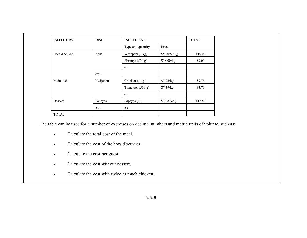| <b>CATEGORY</b> | <b>DISH</b> | <b>INGREDIENTS</b> |               |         |
|-----------------|-------------|--------------------|---------------|---------|
|                 |             | Type and quantity  | Price         |         |
| Hors d'oeuvre   | Nem         | Wrappers (1 kg)    | \$5.00/500 g  | \$10.00 |
|                 |             | Shrimps (500 g)    | \$18.00/kg    | \$9.00  |
|                 |             | etc.               |               |         |
|                 | etc.        |                    |               |         |
| Main dish       | Kedjenou    | Chicken (3 kg)     | \$3.25/kg     | \$9.75  |
|                 |             | Tomatoes $(500 g)$ | \$7.39/kg     | \$3.70  |
|                 |             | etc.               |               |         |
| Dessert         | Papayas     | Papayas (10)       | $$1.28$ (ea.) | \$12.80 |
| etc.            |             | etc.               |               |         |
| <b>TOTAL</b>    |             |                    |               |         |

The table can be used for a number of exercises on decimal numbers and metric units of volume, such as:

- •Calculate the total cost of the meal.
- $\bullet$ Calculate the cost of the hors d'oeuvres.
- $\bullet$ Calculate the cost per guest.
- $\bullet$ Calculate the cost without dessert.
- •Calculate the cost with twice as much chicken.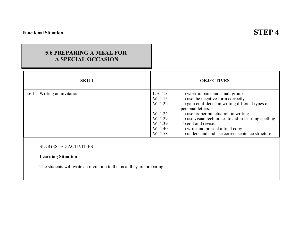## **5.6 PREPARING A MEAL FOR A SPECIAL OCCASION**

| <b>SKILL</b>                                                                                                                      |                                                                                       | <b>OBJECTIVES</b>                                                                                                                                                                                                                                                                                                                                                      |
|-----------------------------------------------------------------------------------------------------------------------------------|---------------------------------------------------------------------------------------|------------------------------------------------------------------------------------------------------------------------------------------------------------------------------------------------------------------------------------------------------------------------------------------------------------------------------------------------------------------------|
| Writing an invitation.<br>5.6.1                                                                                                   | L.S. 4.5<br>W. 4.15<br>W. 4.22<br>W. 4.24<br>W. 4.29<br>W. 4.39<br>W. 4.40<br>W. 4.58 | To work in pairs and small groups.<br>To use the negative form correctly.<br>To gain confidence in writing different types of<br>personal letters.<br>To use proper punctuation in writing.<br>To use visual techniques to aid in learning spelling.<br>To edit and revise.<br>To write and present a final copy.<br>To understand and use correct sentence structure. |
| <b>SUGGESTED ACTIVITIES</b><br><b>Learning Situation</b><br>The students will write an invitation to the meal they are preparing. |                                                                                       |                                                                                                                                                                                                                                                                                                                                                                        |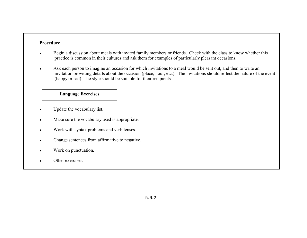#### **Procedure**

- • Begin a discussion about meals with invited family members or friends. Check with the class to know whether this practice is common in their cultures and ask them for examples of particularly pleasant occasions.
- • Ask each person to imagine an occasion for which invitations to a meal would be sent out, and then to write an invitation providing details about the occasion (place, hour, etc.). The invitations should reflect the nature of the event (happy or sad). The style should be suitable for their recipients

- •Update the vocabulary list.
- •Make sure the vocabulary used is appropriate.
- •Work with syntax problems and verb tenses.
- •Change sentences from affirmative to negative.
- •Work on punctuation.
- •Other exercises.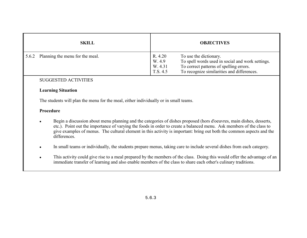|       | <b>SKILL</b>                    | <b>OBJECTIVES</b>                        |                                                                                                                                                                     |
|-------|---------------------------------|------------------------------------------|---------------------------------------------------------------------------------------------------------------------------------------------------------------------|
| 5.6.2 | Planning the menu for the meal. | R. 4.20<br>W. 4.9<br>W. 4.31<br>T.S. 4.5 | To use the dictionary.<br>To spell words used in social and work settings.<br>To correct patterns of spelling errors.<br>To recognize similarities and differences. |

#### **Learning Situation**

The students will plan the menu for the meal, either individually or in small teams.

- • Begin a discussion about menu planning and the categories of dishes proposed (hors d'oeuvres, main dishes, desserts, etc.). Point out the importance of varying the foods in order to create a balanced menu. Ask members of the class to give examples of menus. The cultural element in this activity is important: bring out both the common aspects and the differences.
- •In small teams or individually, the students prepare menus, taking care to include several dishes from each category.
- • This activity could give rise to a meal prepared by the members of the class. Doing this would offer the advantage of an immediate transfer of learning and also enable members of the class to share each other's culinary traditions.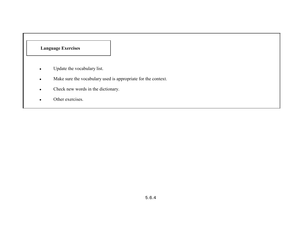- •Update the vocabulary list.
- •Make sure the vocabulary used is appropriate for the context.
- •Check new words in the dictionary.
- $\bullet$ Other exercises.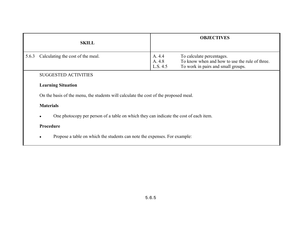|       | <b>SKILL</b>                                                                          |                              | <b>OBJECTIVES</b>                                                                                                 |  |  |
|-------|---------------------------------------------------------------------------------------|------------------------------|-------------------------------------------------------------------------------------------------------------------|--|--|
| 5.6.3 | Calculating the cost of the meal.                                                     | A. 4.4<br>A. 4.8<br>L.S. 4.5 | To calculate percentages.<br>To know when and how to use the rule of three.<br>To work in pairs and small groups. |  |  |
|       | <b>SUGGESTED ACTIVITIES</b>                                                           |                              |                                                                                                                   |  |  |
|       | <b>Learning Situation</b>                                                             |                              |                                                                                                                   |  |  |
|       | On the basis of the menu, the students will calculate the cost of the proposed meal.  |                              |                                                                                                                   |  |  |
|       | <b>Materials</b>                                                                      |                              |                                                                                                                   |  |  |
|       | One photocopy per person of a table on which they can indicate the cost of each item. |                              |                                                                                                                   |  |  |
|       | Procedure                                                                             |                              |                                                                                                                   |  |  |
|       | Propose a table on which the students can note the expenses. For example:             |                              |                                                                                                                   |  |  |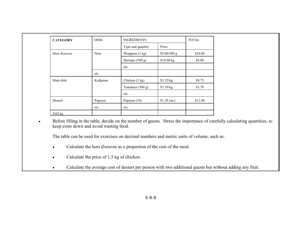| <b>CATEGORY</b>            | <b>DISH</b> | <b>INGREDIENTS</b>       |               |         |
|----------------------------|-------------|--------------------------|---------------|---------|
|                            |             | Type and quantity        | Price         |         |
| Hors d'oeuvre              | Nem         | Wrappers (1 kg)          | \$5.00/500 g  | \$10.00 |
|                            |             | Shrimps $(500 g)$        | \$18.00/kg    | \$9.00  |
|                            |             | etc.                     |               |         |
| etc.                       |             |                          |               |         |
| Main dish<br>Kedjenou      |             | Chicken $(3 \text{ kg})$ | \$3.25/kg     | \$9.75  |
|                            |             | Tomatoes $(500 g)$       | \$7.39/kg     | \$3.70  |
|                            |             | etc.                     |               |         |
| Dessert<br>Papayas<br>etc. |             | Papayas $(10)$           | $$1.28$ (ea.) | \$12.80 |
|                            |             | etc.                     |               |         |
| <b>TOTAL</b>               |             |                          |               |         |

• Before filling in the table, decide on the number of guests. Stress the importance of carefully calculating quantities, to keep costs down and avoid wasting food.

The table can be used for exercises on decimal numbers and metric units of volume, such as:

- •Calculate the hors d'oeuvre as a proportion of the cost of the meal.
- •Calculate the price of 1.5 kg of chicken.
- $\bullet$ Calculate the average cost of dessert per person with two additional guests but without adding any fruit.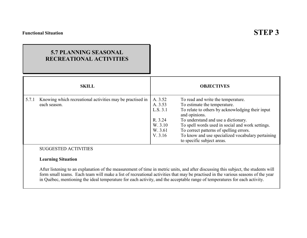## **5.7 PLANNING SEASONALRECREATIONAL ACTIVITIES**

|       | <b>SKILL</b>                                                              |                                                                            | <b>OBJECTIVES</b>                                                                                                                                                                                                                                                                                                                                                |
|-------|---------------------------------------------------------------------------|----------------------------------------------------------------------------|------------------------------------------------------------------------------------------------------------------------------------------------------------------------------------------------------------------------------------------------------------------------------------------------------------------------------------------------------------------|
| 5.7.1 | Knowing which recreational activities may be practised in<br>each season. | A. 3.52<br>A. 3.53<br>L.S. 3.1<br>R. 3.24<br>W. 3.10<br>W. 3.61<br>V. 3.16 | To read and write the temperature.<br>To estimate the temperature.<br>To relate to others by acknowledging their input<br>and opinions.<br>To understand and use a dictionary.<br>To spell words used in social and work settings.<br>To correct patterns of spelling errors.<br>To know and use specialized vocabulary pertaining<br>to specific subject areas. |
|       | <b>SUGGESTED ACTIVITIES</b>                                               |                                                                            |                                                                                                                                                                                                                                                                                                                                                                  |

#### **Learning Situation**

After listening to an explanation of the measurement of time in metric units, and after discussing this subject, the students will form small teams. Each team will make a list of recreational activities that may be practised in the various seasons of the year in QuÈbec, mentioning the ideal temperature for each activity, and the acceptable range of temperatures for each activity.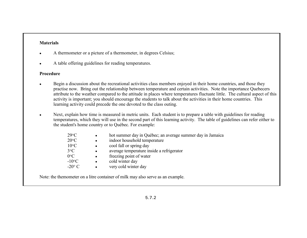## **Materials**

- •A thermometer or a picture of a thermometer, in degrees Celsius;
- •A table offering guidelines for reading temperatures.

## **Procedure**

- • Begin a discussion about the recreational activities class members enjoyed in their home countries, and those they practise now. Bring out the relationship between temperature and certain activities. Note the importance Quebecers attribute to the weather compared to the attitude in places where temperatures fluctuate little. The cultural aspect of this activity is important; you should encourage the students to talk about the activities in their home countries. This learning activity could precede the one devoted to the class outing.
- • Next, explain how time is measured in metric units. Each student is to prepare a table with guidelines for reading temperatures, which they will use in the second part of this learning activity. The table of guidelines can refer either to the student's home country or to Québec. For example:

| $29^{\circ}C$        | $\bullet$ | hot summer day in Québec; an average summer day in Jamaica |
|----------------------|-----------|------------------------------------------------------------|
| $20^{\circ}C$        | $\bullet$ | indoor household temperature                               |
| $10^{\circ}C$        | $\bullet$ | cool fall or spring day                                    |
| $3^{\circ}C$         | $\bullet$ | average temperature inside a refrigerator                  |
| $0^{\circ}C$         | $\bullet$ | freezing point of water                                    |
| $-10$ <sup>o</sup> C | $\bullet$ | cold winter day                                            |
| $-20^{\circ}$ C      |           | very cold winter day                                       |

Note: the themometer on a litre container of milk may also serve as an example.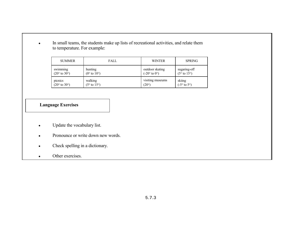• In small teams, the students make up lists of recreational activities, and relate them to temperature. For example:

| <b>SUMMER</b>                         | <b>FALL</b> | <b>WINTER</b>    | <b>SPRING</b>          |
|---------------------------------------|-------------|------------------|------------------------|
| swimming                              | hunting     | outdoor skating  | sugaring-off           |
| $(20^{\circ} \text{ to } 30^{\circ})$ | (0° to 10°) | $(-20° to 0°)$   | (5° to 15°)            |
| picnics                               | walking     | visiting museums | skiing                 |
| $(20^{\circ} \text{ to } 30^{\circ})$ | (5° to 15°) | $(20^{\circ})$   | $(-5° \text{ to } 5°)$ |

## **Language Exercises**

- •Update the vocabulary list.
- $\bullet$ Pronounce or write down new words.
- •Check spelling in a dictionary.
- $\bullet$ Other exercises.